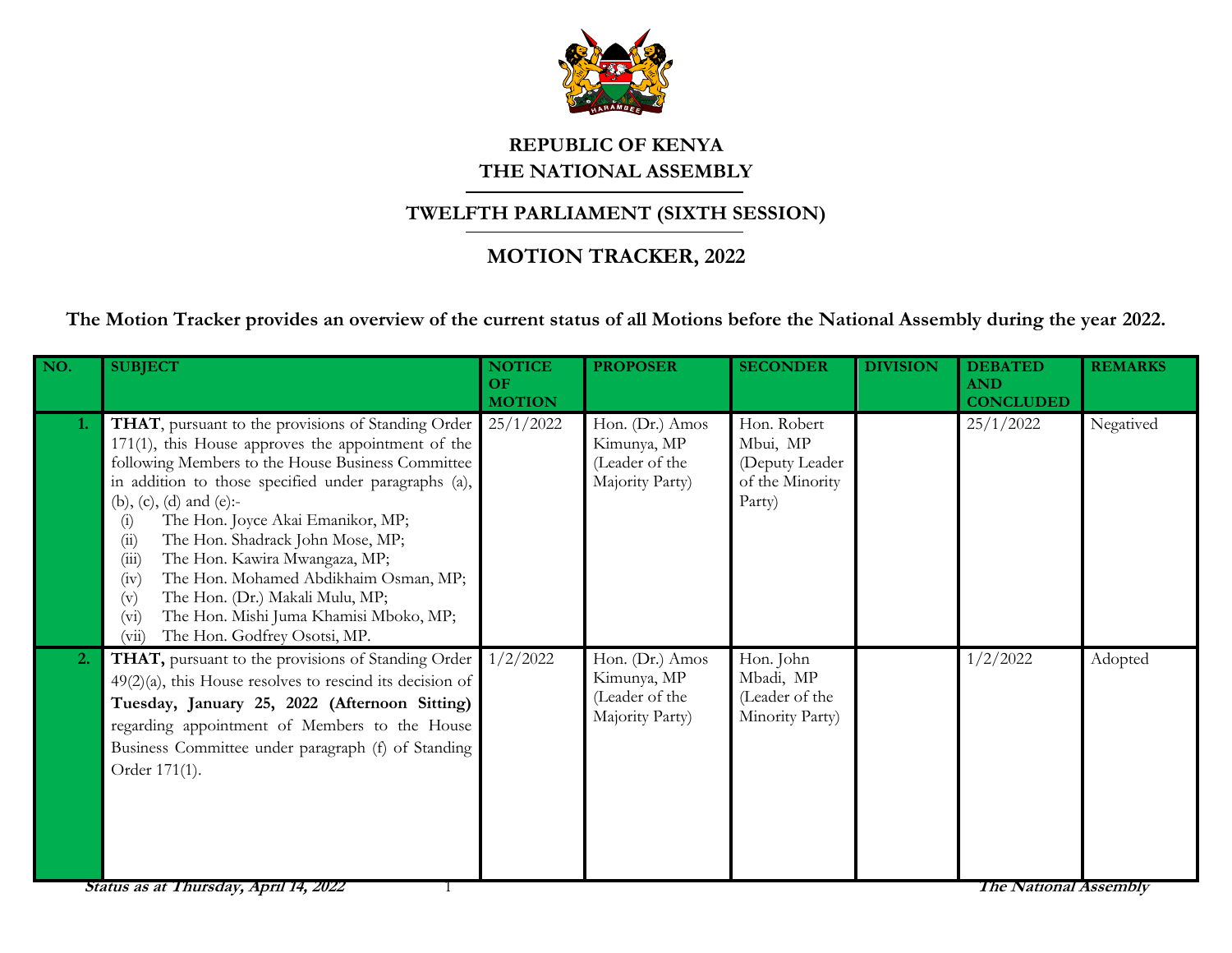

## **REPUBLIC OF KENYA THE NATIONAL ASSEMBLY**

## **TWELFTH PARLIAMENT (SIXTH SESSION)**

## **MOTION TRACKER, 2022**

**The Motion Tracker provides an overview of the current status of all Motions before the National Assembly during the year 2022.**

| NO.              | <b>SUBJECT</b>                                                                                                                                                                                                                                                                                                                                                                                                                                                                                                                                                              | <b>NOTICE</b><br>OF<br><b>MOTION</b> | <b>PROPOSER</b>                                                     | <b>SECONDER</b>                                                        | <b>DIVISION</b> | <b>DEBATED</b><br><b>AND</b><br><b>CONCLUDED</b> | <b>REMARKS</b> |
|------------------|-----------------------------------------------------------------------------------------------------------------------------------------------------------------------------------------------------------------------------------------------------------------------------------------------------------------------------------------------------------------------------------------------------------------------------------------------------------------------------------------------------------------------------------------------------------------------------|--------------------------------------|---------------------------------------------------------------------|------------------------------------------------------------------------|-----------------|--------------------------------------------------|----------------|
| 1.               | THAT, pursuant to the provisions of Standing Order<br>171(1), this House approves the appointment of the<br>following Members to the House Business Committee<br>in addition to those specified under paragraphs (a),<br>(b), (c), (d) and (e):-<br>The Hon. Joyce Akai Emanikor, MP;<br>(i)<br>The Hon. Shadrack John Mose, MP;<br>(ii)<br>The Hon. Kawira Mwangaza, MP;<br>(iii)<br>The Hon. Mohamed Abdikhaim Osman, MP;<br>(iv)<br>The Hon. (Dr.) Makali Mulu, MP;<br>(v)<br>The Hon. Mishi Juma Khamisi Mboko, MP;<br>$(v_i)$<br>The Hon. Godfrey Osotsi, MP.<br>(vii) | 25/1/2022                            | Hon. (Dr.) Amos<br>Kimunya, MP<br>(Leader of the<br>Majority Party) | Hon. Robert<br>Mbui, MP<br>(Deputy Leader<br>of the Minority<br>Party) |                 | 25/1/2022                                        | Negatived      |
| $\overline{2}$ . | THAT, pursuant to the provisions of Standing Order<br>$49(2)(a)$ , this House resolves to rescind its decision of<br>Tuesday, January 25, 2022 (Afternoon Sitting)<br>regarding appointment of Members to the House<br>Business Committee under paragraph (f) of Standing<br>Order 171(1).                                                                                                                                                                                                                                                                                  | 1/2/2022                             | Hon. (Dr.) Amos<br>Kimunya, MP<br>(Leader of the<br>Majority Party) | Hon. John<br>Mbadi, MP<br>(Leader of the<br>Minority Party)            |                 | 1/2/2022                                         | Adopted        |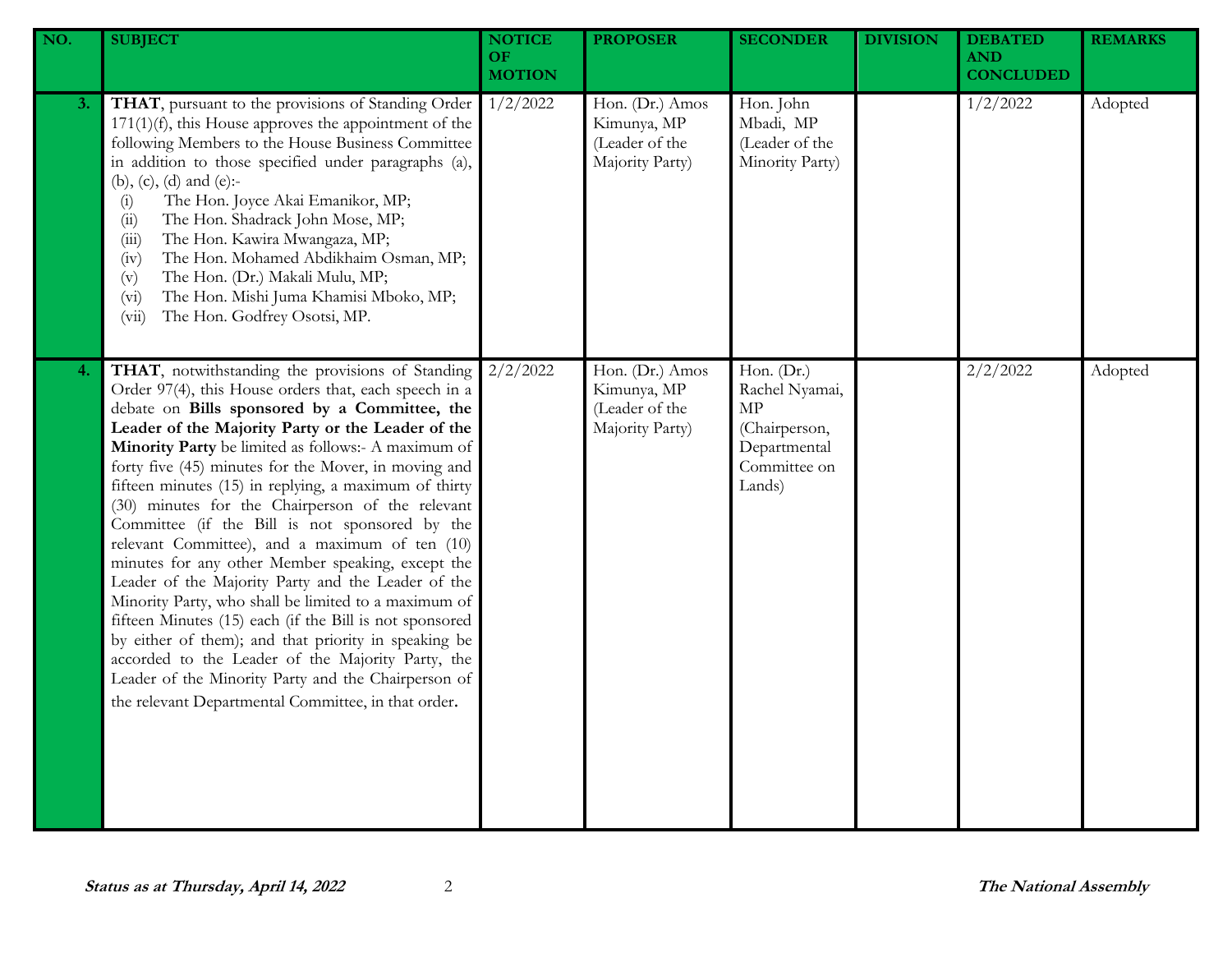| NO. | <b>SUBJECT</b>                                                                                                                                                                                                                                                                                                                                                                                                                                                                                                                                                                                                                                                                                                                                                                                                                                                                                                                                                                                           | <b>NOTICE</b><br>OF<br><b>MOTION</b> | <b>PROPOSER</b>                                                     | <b>SECONDER</b>                                                                               | <b>DIVISION</b> | <b>DEBATED</b><br><b>AND</b><br><b>CONCLUDED</b> | <b>REMARKS</b> |
|-----|----------------------------------------------------------------------------------------------------------------------------------------------------------------------------------------------------------------------------------------------------------------------------------------------------------------------------------------------------------------------------------------------------------------------------------------------------------------------------------------------------------------------------------------------------------------------------------------------------------------------------------------------------------------------------------------------------------------------------------------------------------------------------------------------------------------------------------------------------------------------------------------------------------------------------------------------------------------------------------------------------------|--------------------------------------|---------------------------------------------------------------------|-----------------------------------------------------------------------------------------------|-----------------|--------------------------------------------------|----------------|
| 3.  | THAT, pursuant to the provisions of Standing Order<br>$171(1)(f)$ , this House approves the appointment of the<br>following Members to the House Business Committee<br>in addition to those specified under paragraphs (a),<br>(b), (c), (d) and (e):-<br>The Hon. Joyce Akai Emanikor, MP;<br>(i)<br>The Hon. Shadrack John Mose, MP;<br>(ii)<br>The Hon. Kawira Mwangaza, MP;<br>(iii)<br>The Hon. Mohamed Abdikhaim Osman, MP;<br>(iv)<br>The Hon. (Dr.) Makali Mulu, MP;<br>(v)<br>The Hon. Mishi Juma Khamisi Mboko, MP;<br>(v <sub>i</sub> )<br>The Hon. Godfrey Osotsi, MP.<br>(vii)                                                                                                                                                                                                                                                                                                                                                                                                              | 1/2/2022                             | Hon. (Dr.) Amos<br>Kimunya, MP<br>(Leader of the<br>Majority Party) | Hon. John<br>Mbadi, MP<br>(Leader of the<br>Minority Party)                                   |                 | 1/2/2022                                         | Adopted        |
| 4.  | THAT, notwithstanding the provisions of Standing<br>Order 97(4), this House orders that, each speech in a<br>debate on Bills sponsored by a Committee, the<br>Leader of the Majority Party or the Leader of the<br>Minority Party be limited as follows:- A maximum of<br>forty five (45) minutes for the Mover, in moving and<br>fifteen minutes (15) in replying, a maximum of thirty<br>(30) minutes for the Chairperson of the relevant<br>Committee (if the Bill is not sponsored by the<br>relevant Committee), and a maximum of ten (10)<br>minutes for any other Member speaking, except the<br>Leader of the Majority Party and the Leader of the<br>Minority Party, who shall be limited to a maximum of<br>fifteen Minutes (15) each (if the Bill is not sponsored<br>by either of them); and that priority in speaking be<br>accorded to the Leader of the Majority Party, the<br>Leader of the Minority Party and the Chairperson of<br>the relevant Departmental Committee, in that order. | 2/2/2022                             | Hon. (Dr.) Amos<br>Kimunya, MP<br>(Leader of the<br>Majority Party) | Hon. (Dr.)<br>Rachel Nyamai,<br>MP<br>(Chairperson,<br>Departmental<br>Committee on<br>Lands) |                 | 2/2/2022                                         | Adopted        |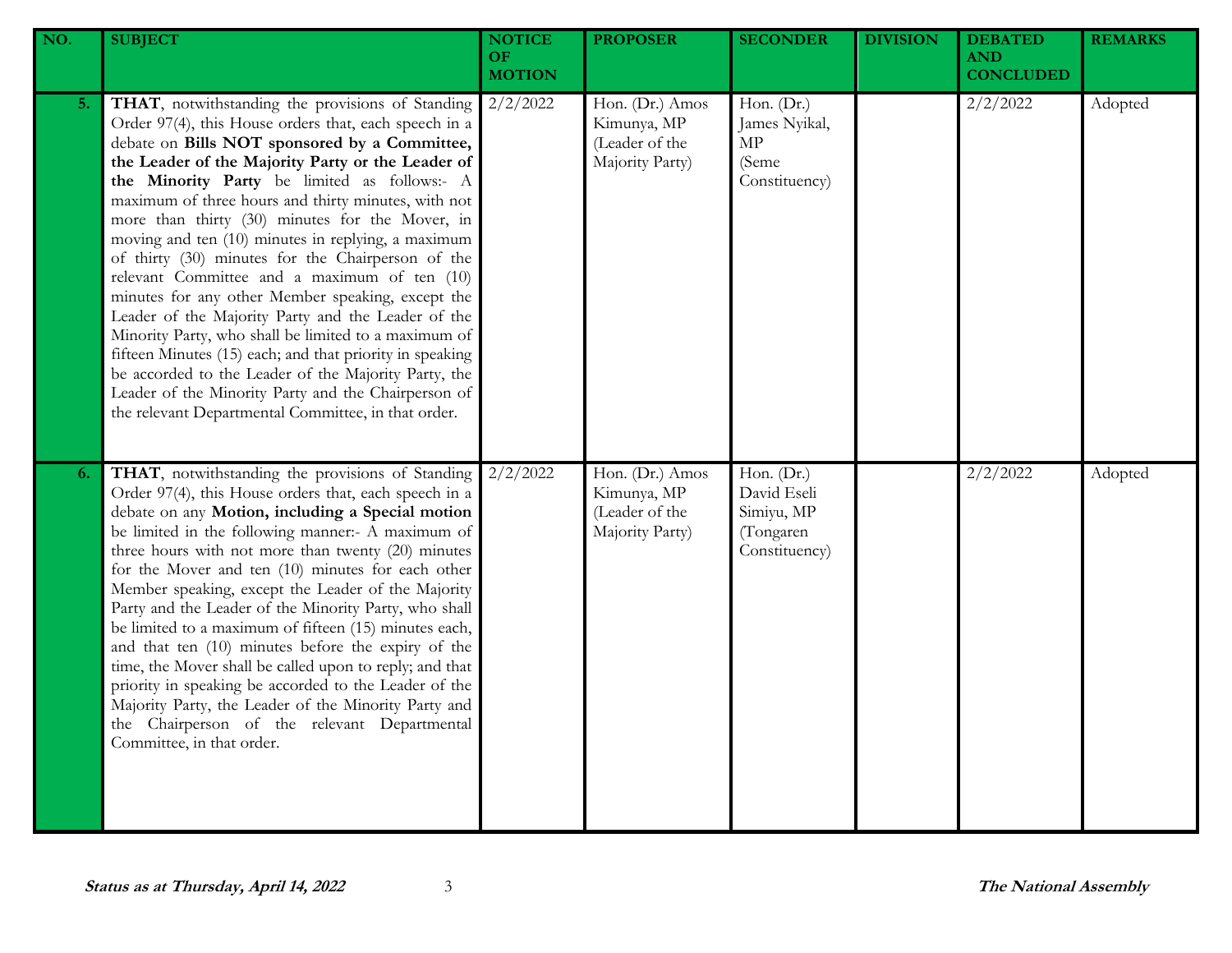| NO. | <b>SUBJECT</b>                                                                                                                                                                                                                                                                                                                                                                                                                                                                                                                                                                                                                                                                                                                                                                                                                                                                                                                            | <b>NOTICE</b><br><b>OF</b><br><b>MOTION</b> | <b>PROPOSER</b>                                                     | <b>SECONDER</b>                                                       | <b>DIVISION</b> | <b>DEBATED</b><br><b>AND</b><br><b>CONCLUDED</b> | <b>REMARKS</b> |
|-----|-------------------------------------------------------------------------------------------------------------------------------------------------------------------------------------------------------------------------------------------------------------------------------------------------------------------------------------------------------------------------------------------------------------------------------------------------------------------------------------------------------------------------------------------------------------------------------------------------------------------------------------------------------------------------------------------------------------------------------------------------------------------------------------------------------------------------------------------------------------------------------------------------------------------------------------------|---------------------------------------------|---------------------------------------------------------------------|-----------------------------------------------------------------------|-----------------|--------------------------------------------------|----------------|
| 5.  | THAT, notwithstanding the provisions of Standing<br>Order 97(4), this House orders that, each speech in a<br>debate on Bills NOT sponsored by a Committee,<br>the Leader of the Majority Party or the Leader of<br>the Minority Party be limited as follows:- A<br>maximum of three hours and thirty minutes, with not<br>more than thirty (30) minutes for the Mover, in<br>moving and ten (10) minutes in replying, a maximum<br>of thirty (30) minutes for the Chairperson of the<br>relevant Committee and a maximum of ten (10)<br>minutes for any other Member speaking, except the<br>Leader of the Majority Party and the Leader of the<br>Minority Party, who shall be limited to a maximum of<br>fifteen Minutes (15) each; and that priority in speaking<br>be accorded to the Leader of the Majority Party, the<br>Leader of the Minority Party and the Chairperson of<br>the relevant Departmental Committee, in that order. | 2/2/2022                                    | Hon. (Dr.) Amos<br>Kimunya, MP<br>(Leader of the<br>Majority Party) | Hon. (Dr.)<br>James Nyikal,<br>MP<br>(Seme<br>Constituency)           |                 | 2/2/2022                                         | Adopted        |
| 6.  | THAT, notwithstanding the provisions of Standing<br>Order 97(4), this House orders that, each speech in a<br>debate on any Motion, including a Special motion<br>be limited in the following manner:- A maximum of<br>three hours with not more than twenty (20) minutes<br>for the Mover and ten (10) minutes for each other<br>Member speaking, except the Leader of the Majority<br>Party and the Leader of the Minority Party, who shall<br>be limited to a maximum of fifteen (15) minutes each,<br>and that ten (10) minutes before the expiry of the<br>time, the Mover shall be called upon to reply; and that<br>priority in speaking be accorded to the Leader of the<br>Majority Party, the Leader of the Minority Party and<br>the Chairperson of the relevant Departmental<br>Committee, in that order.                                                                                                                      | 2/2/2022                                    | Hon. (Dr.) Amos<br>Kimunya, MP<br>(Leader of the<br>Majority Party) | Hon. (Dr.)<br>David Eseli<br>Simiyu, MP<br>(Tongaren<br>Constituency) |                 | 2/2/2022                                         | Adopted        |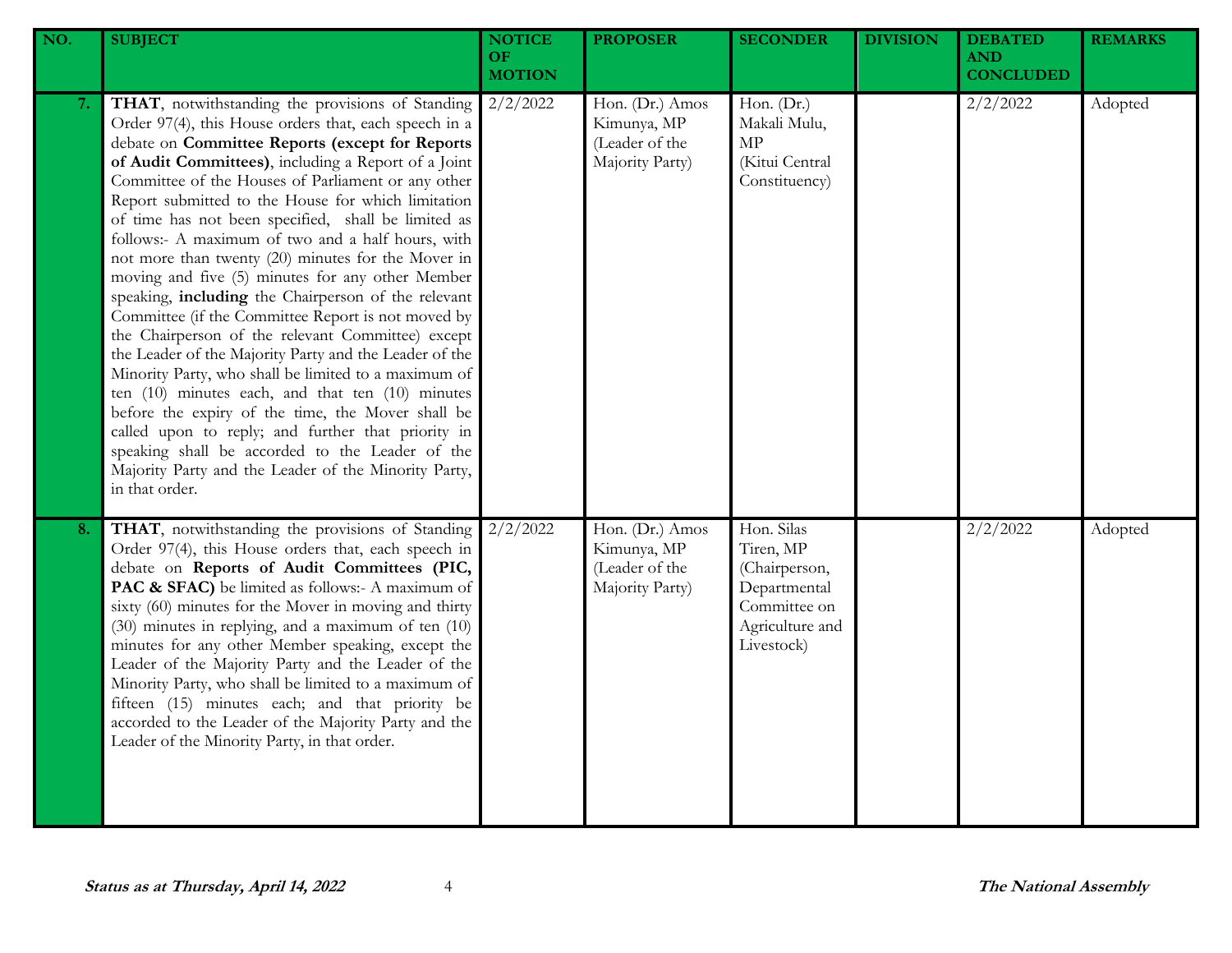| NO. | <b>SUBJECT</b>                                                                                                                                                                                                                                                                                                                                                                                                                                                                                                                                                                                                                                                                                                                                                                                                                                                                                                                                                                                                                                                                                                                        | <b>NOTICE</b><br><b>OF</b><br><b>MOTION</b> | <b>PROPOSER</b>                                                     | <b>SECONDER</b>                                                                                           | <b>DIVISION</b> | <b>DEBATED</b><br><b>AND</b><br><b>CONCLUDED</b> | <b>REMARKS</b> |
|-----|---------------------------------------------------------------------------------------------------------------------------------------------------------------------------------------------------------------------------------------------------------------------------------------------------------------------------------------------------------------------------------------------------------------------------------------------------------------------------------------------------------------------------------------------------------------------------------------------------------------------------------------------------------------------------------------------------------------------------------------------------------------------------------------------------------------------------------------------------------------------------------------------------------------------------------------------------------------------------------------------------------------------------------------------------------------------------------------------------------------------------------------|---------------------------------------------|---------------------------------------------------------------------|-----------------------------------------------------------------------------------------------------------|-----------------|--------------------------------------------------|----------------|
| 7.  | THAT, notwithstanding the provisions of Standing<br>Order 97(4), this House orders that, each speech in a<br>debate on Committee Reports (except for Reports<br>of Audit Committees), including a Report of a Joint<br>Committee of the Houses of Parliament or any other<br>Report submitted to the House for which limitation<br>of time has not been specified, shall be limited as<br>follows:- A maximum of two and a half hours, with<br>not more than twenty (20) minutes for the Mover in<br>moving and five (5) minutes for any other Member<br>speaking, including the Chairperson of the relevant<br>Committee (if the Committee Report is not moved by<br>the Chairperson of the relevant Committee) except<br>the Leader of the Majority Party and the Leader of the<br>Minority Party, who shall be limited to a maximum of<br>ten (10) minutes each, and that ten (10) minutes<br>before the expiry of the time, the Mover shall be<br>called upon to reply; and further that priority in<br>speaking shall be accorded to the Leader of the<br>Majority Party and the Leader of the Minority Party,<br>in that order. | 2/2/2022                                    | Hon. (Dr.) Amos<br>Kimunya, MP<br>(Leader of the<br>Majority Party) | Hon. (Dr.)<br>Makali Mulu,<br>$\ensuremath{\mathrm{MP}}$<br>(Kitui Central<br>Constituency)               |                 | 2/2/2022                                         | Adopted        |
| 8.  | THAT, notwithstanding the provisions of Standing<br>Order 97(4), this House orders that, each speech in<br>debate on Reports of Audit Committees (PIC,<br>PAC & SFAC) be limited as follows:- A maximum of<br>sixty (60) minutes for the Mover in moving and thirty<br>(30) minutes in replying, and a maximum of ten (10)<br>minutes for any other Member speaking, except the<br>Leader of the Majority Party and the Leader of the<br>Minority Party, who shall be limited to a maximum of<br>fifteen (15) minutes each; and that priority be<br>accorded to the Leader of the Majority Party and the<br>Leader of the Minority Party, in that order.                                                                                                                                                                                                                                                                                                                                                                                                                                                                              | 2/2/2022                                    | Hon. (Dr.) Amos<br>Kimunya, MP<br>(Leader of the<br>Majority Party) | Hon. Silas<br>Tiren, MP<br>(Chairperson,<br>Departmental<br>Committee on<br>Agriculture and<br>Livestock) |                 | 2/2/2022                                         | Adopted        |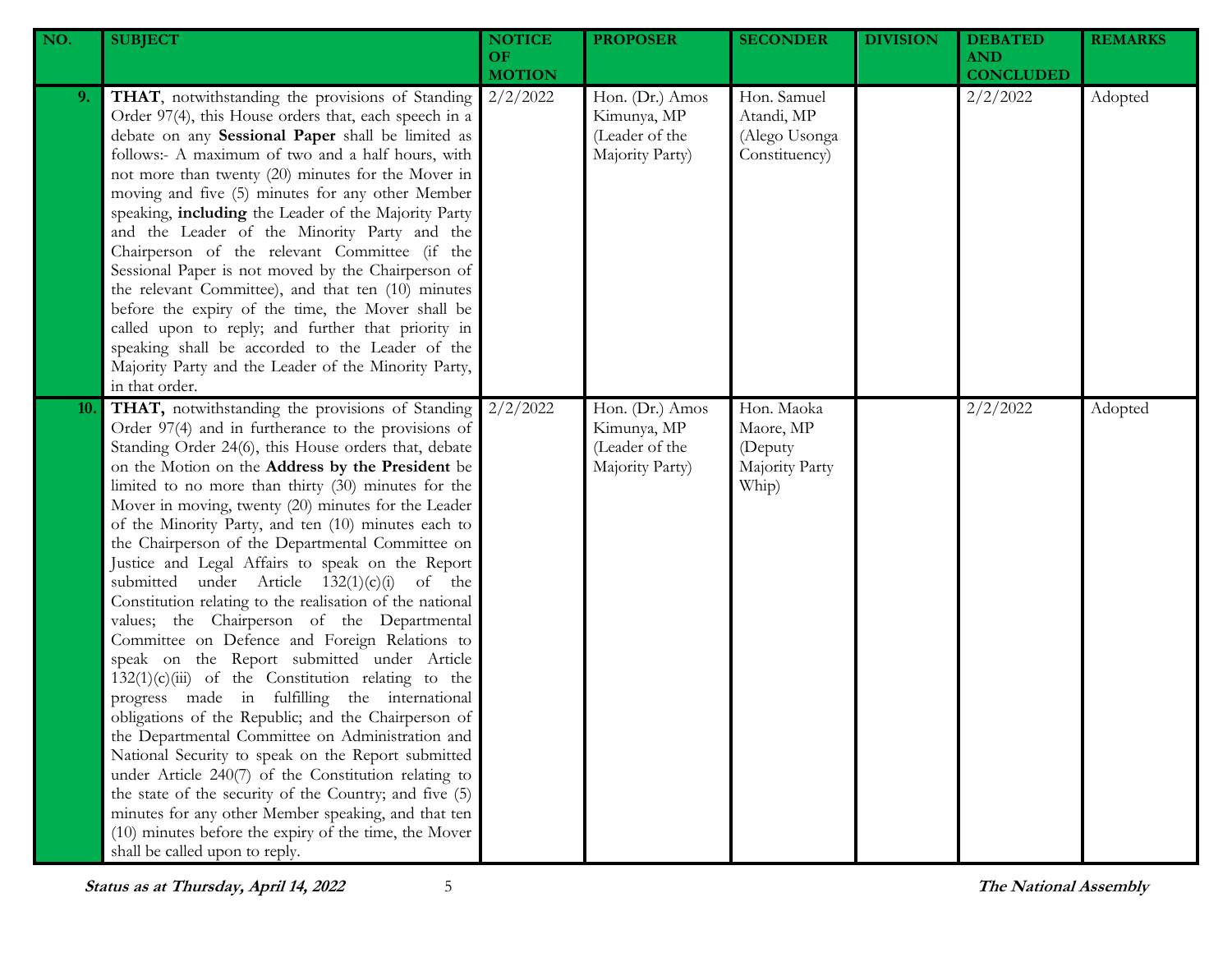| NO. | <b>SUBJECT</b>                                                                                                                                                                                                                                                                                                                                                                                                                                                                                                                                                                                                                                                                                                                                                                                                                                                                                                                                                                                                                                                                                                                                                                                                                                                                                             | <b>NOTICE</b><br><b>OF</b><br><b>MOTION</b> | <b>PROPOSER</b>                                                     | <b>SECONDER</b>                                               | <b>DIVISION</b> | <b>DEBATED</b><br><b>AND</b><br><b>CONCLUDED</b> | <b>REMARKS</b> |
|-----|------------------------------------------------------------------------------------------------------------------------------------------------------------------------------------------------------------------------------------------------------------------------------------------------------------------------------------------------------------------------------------------------------------------------------------------------------------------------------------------------------------------------------------------------------------------------------------------------------------------------------------------------------------------------------------------------------------------------------------------------------------------------------------------------------------------------------------------------------------------------------------------------------------------------------------------------------------------------------------------------------------------------------------------------------------------------------------------------------------------------------------------------------------------------------------------------------------------------------------------------------------------------------------------------------------|---------------------------------------------|---------------------------------------------------------------------|---------------------------------------------------------------|-----------------|--------------------------------------------------|----------------|
| 9.  | THAT, notwithstanding the provisions of Standing<br>Order 97(4), this House orders that, each speech in a<br>debate on any Sessional Paper shall be limited as<br>follows:- A maximum of two and a half hours, with<br>not more than twenty (20) minutes for the Mover in<br>moving and five (5) minutes for any other Member<br>speaking, including the Leader of the Majority Party<br>and the Leader of the Minority Party and the<br>Chairperson of the relevant Committee (if the<br>Sessional Paper is not moved by the Chairperson of<br>the relevant Committee), and that ten (10) minutes<br>before the expiry of the time, the Mover shall be<br>called upon to reply; and further that priority in<br>speaking shall be accorded to the Leader of the<br>Majority Party and the Leader of the Minority Party,<br>in that order.                                                                                                                                                                                                                                                                                                                                                                                                                                                                 | 2/2/2022                                    | Hon. (Dr.) Amos<br>Kimunya, MP<br>(Leader of the<br>Majority Party) | Hon. Samuel<br>Atandi, MP<br>(Alego Usonga<br>Constituency)   |                 | 2/2/2022                                         | Adopted        |
| 10. | THAT, notwithstanding the provisions of Standing<br>Order 97(4) and in furtherance to the provisions of<br>Standing Order 24(6), this House orders that, debate<br>on the Motion on the Address by the President be<br>limited to no more than thirty (30) minutes for the<br>Mover in moving, twenty (20) minutes for the Leader<br>of the Minority Party, and ten (10) minutes each to<br>the Chairperson of the Departmental Committee on<br>Justice and Legal Affairs to speak on the Report<br>submitted under Article $132(1)(c)(i)$ of the<br>Constitution relating to the realisation of the national<br>values; the Chairperson of the Departmental<br>Committee on Defence and Foreign Relations to<br>speak on the Report submitted under Article<br>$132(1)(c)(iii)$ of the Constitution relating to the<br>progress made in fulfilling the international<br>obligations of the Republic; and the Chairperson of<br>the Departmental Committee on Administration and<br>National Security to speak on the Report submitted<br>under Article 240(7) of the Constitution relating to<br>the state of the security of the Country; and five (5)<br>minutes for any other Member speaking, and that ten<br>(10) minutes before the expiry of the time, the Mover<br>shall be called upon to reply. | 2/2/2022                                    | Hon. (Dr.) Amos<br>Kimunya, MP<br>(Leader of the<br>Majority Party) | Hon. Maoka<br>Maore, MP<br>(Deputy<br>Majority Party<br>Whip) |                 | 2/2/2022                                         | Adopted        |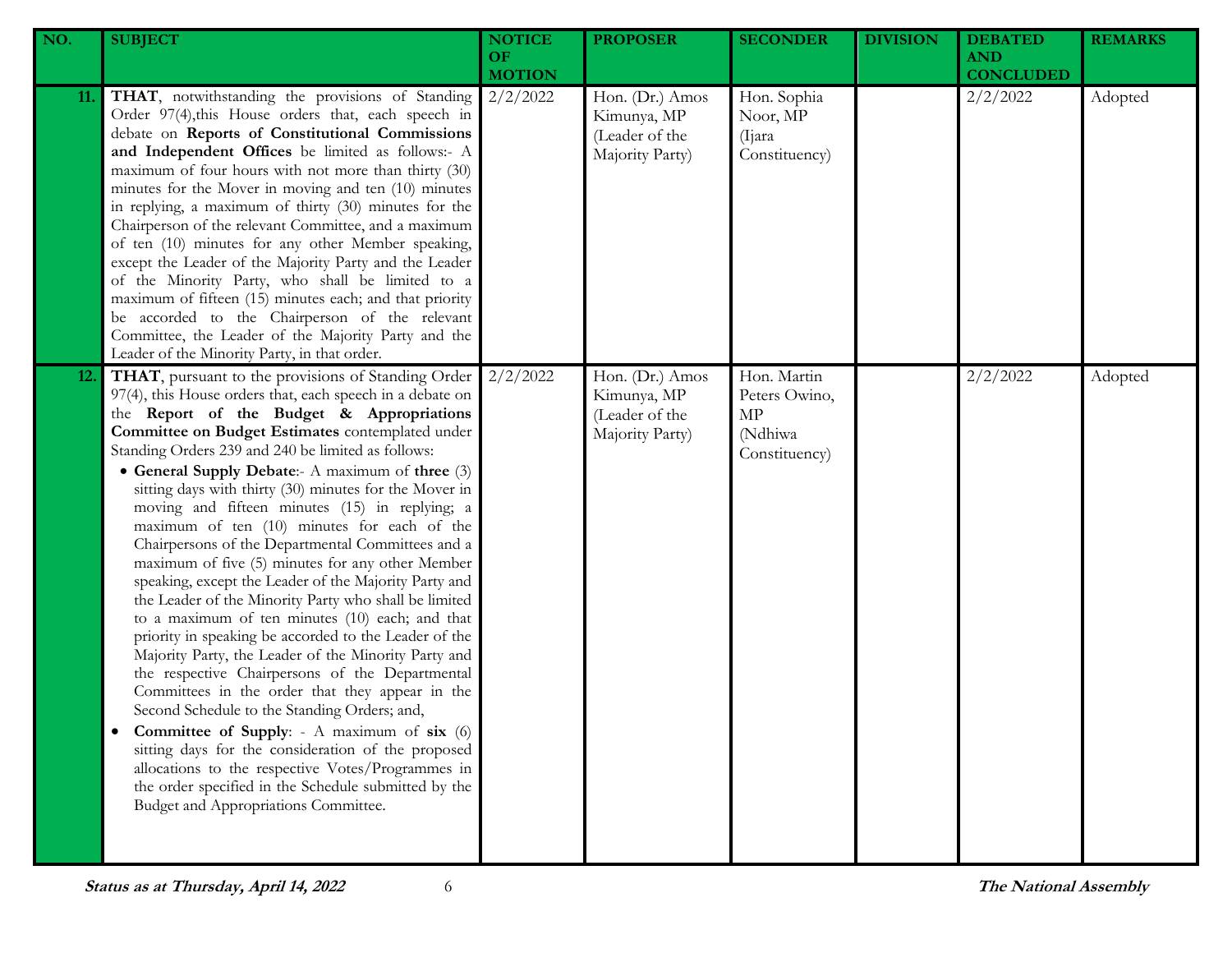| NO.        | <b>SUBJECT</b>                                                                                                                                                                                                                                                                                                                                                                                                                                                                                                                                                                                                                                                                                                                                                                                                                                                                                                                                                                                                                                                                                                                                                                                                                                                                                       | <b>NOTICE</b><br>OF.<br><b>MOTION</b> | <b>PROPOSER</b>                                                     | <b>SECONDER</b>                                                | <b>DIVISION</b> | <b>DEBATED</b><br><b>AND</b><br><b>CONCLUDED</b> | <b>REMARKS</b> |
|------------|------------------------------------------------------------------------------------------------------------------------------------------------------------------------------------------------------------------------------------------------------------------------------------------------------------------------------------------------------------------------------------------------------------------------------------------------------------------------------------------------------------------------------------------------------------------------------------------------------------------------------------------------------------------------------------------------------------------------------------------------------------------------------------------------------------------------------------------------------------------------------------------------------------------------------------------------------------------------------------------------------------------------------------------------------------------------------------------------------------------------------------------------------------------------------------------------------------------------------------------------------------------------------------------------------|---------------------------------------|---------------------------------------------------------------------|----------------------------------------------------------------|-----------------|--------------------------------------------------|----------------|
| 11.        | THAT, notwithstanding the provisions of Standing<br>Order 97(4), this House orders that, each speech in<br>debate on Reports of Constitutional Commissions<br>and Independent Offices be limited as follows:- A<br>maximum of four hours with not more than thirty (30)<br>minutes for the Mover in moving and ten (10) minutes<br>in replying, a maximum of thirty (30) minutes for the<br>Chairperson of the relevant Committee, and a maximum<br>of ten (10) minutes for any other Member speaking,<br>except the Leader of the Majority Party and the Leader<br>of the Minority Party, who shall be limited to a<br>maximum of fifteen (15) minutes each; and that priority<br>be accorded to the Chairperson of the relevant<br>Committee, the Leader of the Majority Party and the<br>Leader of the Minority Party, in that order.                                                                                                                                                                                                                                                                                                                                                                                                                                                             | 2/2/2022                              | Hon. (Dr.) Amos<br>Kimunya, MP<br>(Leader of the<br>Majority Party) | Hon. Sophia<br>Noor, MP<br>(Ijara)<br>Constituency)            |                 | 2/2/2022                                         | Adopted        |
| <b>12.</b> | THAT, pursuant to the provisions of Standing Order<br>97(4), this House orders that, each speech in a debate on<br>the Report of the Budget & Appropriations<br>Committee on Budget Estimates contemplated under<br>Standing Orders 239 and 240 be limited as follows:<br>• General Supply Debate:- A maximum of three (3)<br>sitting days with thirty (30) minutes for the Mover in<br>moving and fifteen minutes (15) in replying; a<br>maximum of ten (10) minutes for each of the<br>Chairpersons of the Departmental Committees and a<br>maximum of five (5) minutes for any other Member<br>speaking, except the Leader of the Majority Party and<br>the Leader of the Minority Party who shall be limited<br>to a maximum of ten minutes (10) each; and that<br>priority in speaking be accorded to the Leader of the<br>Majority Party, the Leader of the Minority Party and<br>the respective Chairpersons of the Departmental<br>Committees in the order that they appear in the<br>Second Schedule to the Standing Orders; and,<br>Committee of Supply: - A maximum of six (6)<br>sitting days for the consideration of the proposed<br>allocations to the respective Votes/Programmes in<br>the order specified in the Schedule submitted by the<br>Budget and Appropriations Committee. | 2/2/2022                              | Hon. (Dr.) Amos<br>Kimunya, MP<br>(Leader of the<br>Majority Party) | Hon. Martin<br>Peters Owino,<br>MP<br>(Ndhiwa<br>Constituency) |                 | 2/2/2022                                         | Adopted        |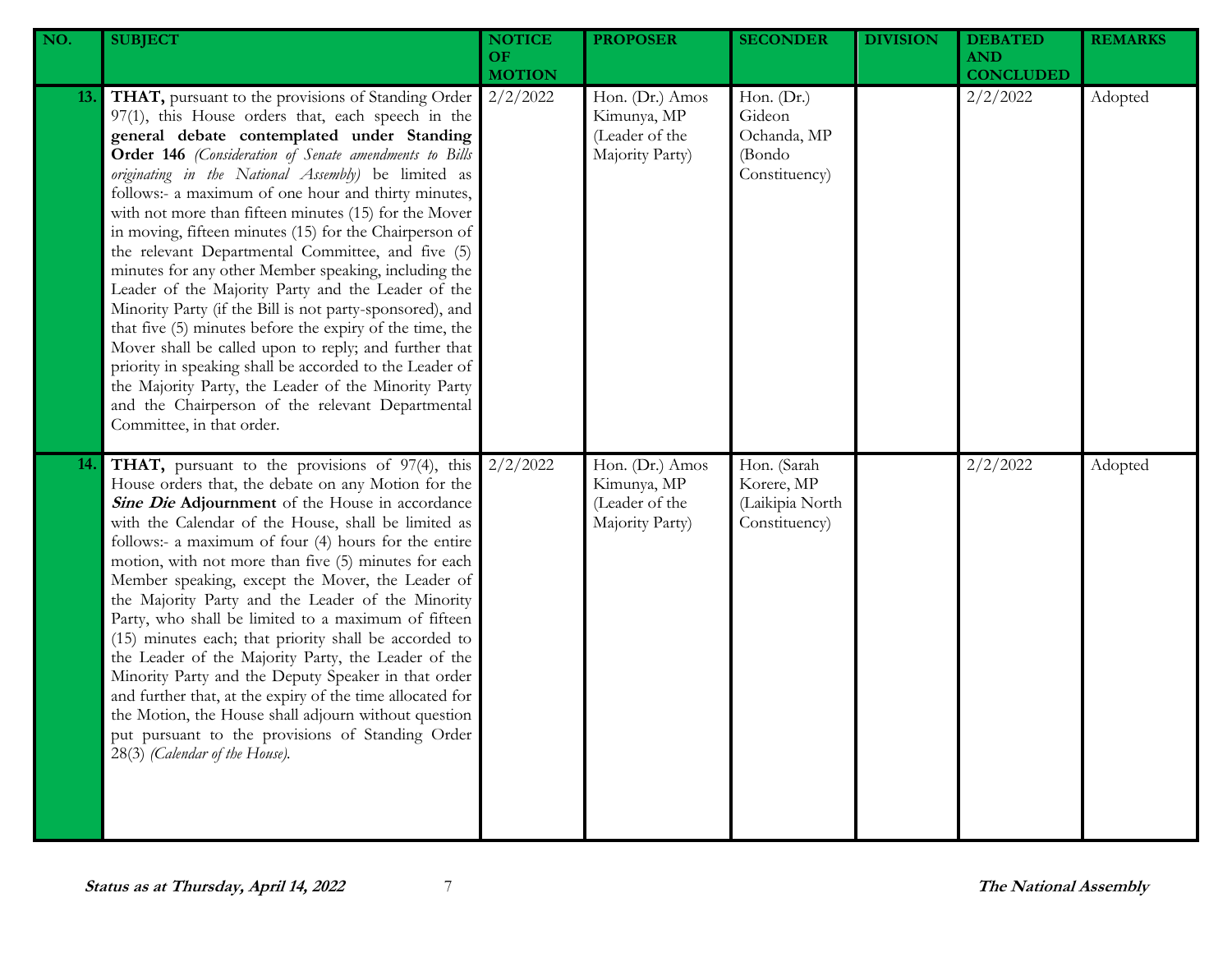| NO. | <b>SUBJECT</b>                                                                                                                                                                                                                                                                                                                                                                                                                                                                                                                                                                                                                                                                                                                                                                                                                                                                                                                                                                                           | <b>NOTICE</b><br><b>OF</b><br><b>MOTION</b> | <b>PROPOSER</b>                                                     | <b>SECONDER</b>                                                | <b>DIVISION</b> | <b>DEBATED</b><br><b>AND</b><br><b>CONCLUDED</b> | <b>REMARKS</b> |
|-----|----------------------------------------------------------------------------------------------------------------------------------------------------------------------------------------------------------------------------------------------------------------------------------------------------------------------------------------------------------------------------------------------------------------------------------------------------------------------------------------------------------------------------------------------------------------------------------------------------------------------------------------------------------------------------------------------------------------------------------------------------------------------------------------------------------------------------------------------------------------------------------------------------------------------------------------------------------------------------------------------------------|---------------------------------------------|---------------------------------------------------------------------|----------------------------------------------------------------|-----------------|--------------------------------------------------|----------------|
| 13. | THAT, pursuant to the provisions of Standing Order<br>97(1), this House orders that, each speech in the<br>general debate contemplated under Standing<br>Order 146 (Consideration of Senate amendments to Bills<br>originating in the National Assembly) be limited as<br>follows:- a maximum of one hour and thirty minutes,<br>with not more than fifteen minutes (15) for the Mover<br>in moving, fifteen minutes (15) for the Chairperson of<br>the relevant Departmental Committee, and five (5)<br>minutes for any other Member speaking, including the<br>Leader of the Majority Party and the Leader of the<br>Minority Party (if the Bill is not party-sponsored), and<br>that five (5) minutes before the expiry of the time, the<br>Mover shall be called upon to reply; and further that<br>priority in speaking shall be accorded to the Leader of<br>the Majority Party, the Leader of the Minority Party<br>and the Chairperson of the relevant Departmental<br>Committee, in that order. | 2/2/2022                                    | Hon. (Dr.) Amos<br>Kimunya, MP<br>(Leader of the<br>Majority Party) | Hon. (Dr.)<br>Gideon<br>Ochanda, MP<br>(Bondo<br>Constituency) |                 | 2/2/2022                                         | Adopted        |
| 14. | THAT, pursuant to the provisions of 97(4), this<br>House orders that, the debate on any Motion for the<br>Sine Die Adjournment of the House in accordance<br>with the Calendar of the House, shall be limited as<br>follows:- a maximum of four (4) hours for the entire<br>motion, with not more than five (5) minutes for each<br>Member speaking, except the Mover, the Leader of<br>the Majority Party and the Leader of the Minority<br>Party, who shall be limited to a maximum of fifteen<br>(15) minutes each; that priority shall be accorded to<br>the Leader of the Majority Party, the Leader of the<br>Minority Party and the Deputy Speaker in that order<br>and further that, at the expiry of the time allocated for<br>the Motion, the House shall adjourn without question<br>put pursuant to the provisions of Standing Order<br>28(3) (Calendar of the House).                                                                                                                       | 2/2/2022                                    | Hon. (Dr.) Amos<br>Kimunya, MP<br>(Leader of the<br>Majority Party) | Hon. (Sarah<br>Korere, MP<br>(Laikipia North<br>Constituency)  |                 | 2/2/2022                                         | Adopted        |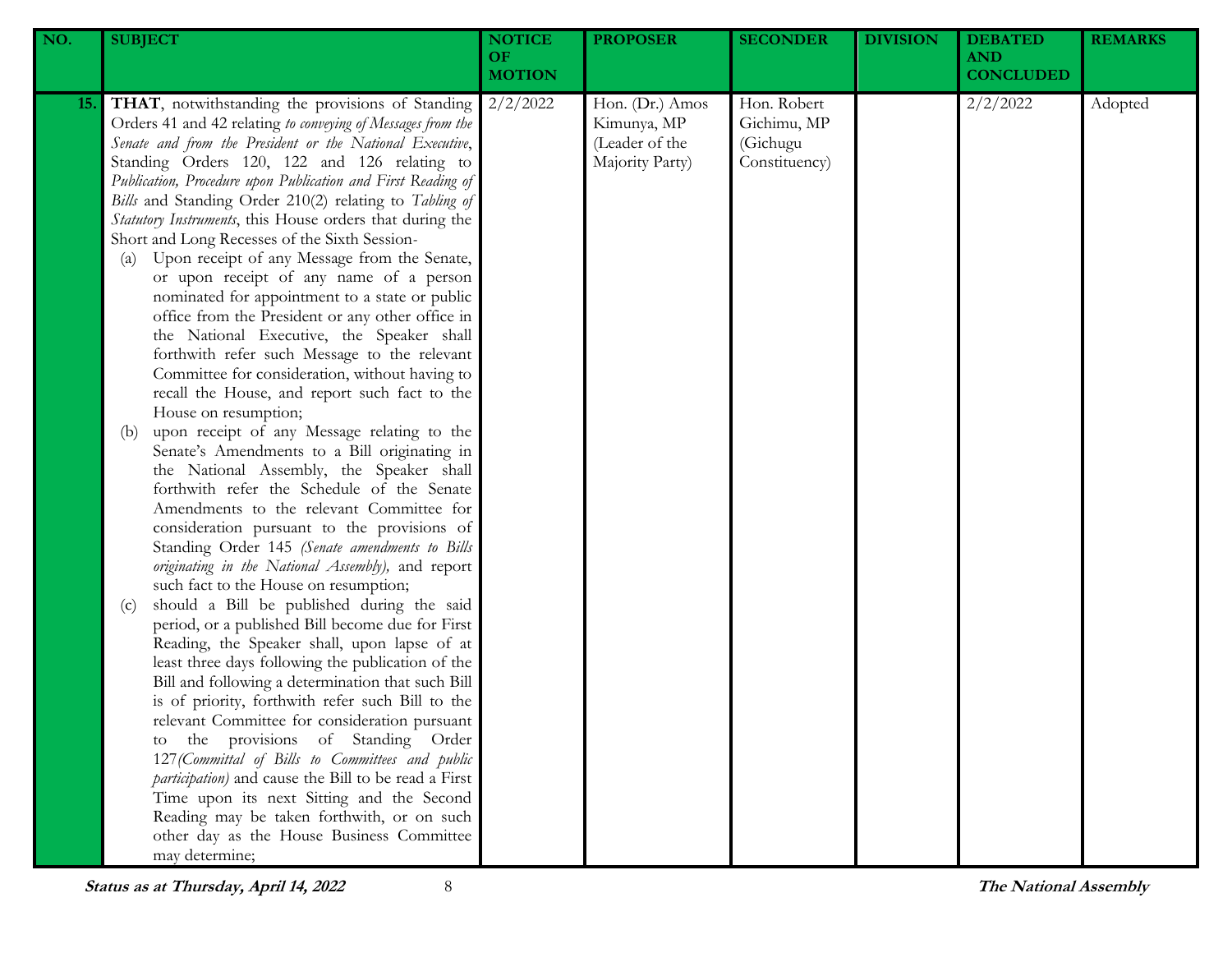| NO. | <b>SUBJECT</b>                                                                                                                                                                                                                                                                                                                                                                                                                                                                                                                                                                                                                                                                                                                                                                                                                                                                                                                                                                                                                                                                                                                                                                                                                                                                                                                                                                                                                                                                                                                                                                                                                                                                                                                                                                                                                                                                                                                                                                                                                                        | <b>NOTICE</b><br><b>OF</b><br><b>MOTION</b> | <b>PROPOSER</b>                                                     | <b>SECONDER</b>                                         | <b>DIVISION</b> | <b>DEBATED</b><br><b>AND</b><br><b>CONCLUDED</b> | <b>REMARKS</b> |
|-----|-------------------------------------------------------------------------------------------------------------------------------------------------------------------------------------------------------------------------------------------------------------------------------------------------------------------------------------------------------------------------------------------------------------------------------------------------------------------------------------------------------------------------------------------------------------------------------------------------------------------------------------------------------------------------------------------------------------------------------------------------------------------------------------------------------------------------------------------------------------------------------------------------------------------------------------------------------------------------------------------------------------------------------------------------------------------------------------------------------------------------------------------------------------------------------------------------------------------------------------------------------------------------------------------------------------------------------------------------------------------------------------------------------------------------------------------------------------------------------------------------------------------------------------------------------------------------------------------------------------------------------------------------------------------------------------------------------------------------------------------------------------------------------------------------------------------------------------------------------------------------------------------------------------------------------------------------------------------------------------------------------------------------------------------------------|---------------------------------------------|---------------------------------------------------------------------|---------------------------------------------------------|-----------------|--------------------------------------------------|----------------|
| 15. | <b>THAT</b> , notwithstanding the provisions of Standing<br>Orders 41 and 42 relating to conveying of Messages from the<br>Senate and from the President or the National Executive,<br>Standing Orders 120, 122 and 126 relating to<br>Publication, Procedure upon Publication and First Reading of<br>Bills and Standing Order 210(2) relating to Tabling of<br>Statutory Instruments, this House orders that during the<br>Short and Long Recesses of the Sixth Session-<br>Upon receipt of any Message from the Senate,<br>$\left( a\right)$<br>or upon receipt of any name of a person<br>nominated for appointment to a state or public<br>office from the President or any other office in<br>the National Executive, the Speaker shall<br>forthwith refer such Message to the relevant<br>Committee for consideration, without having to<br>recall the House, and report such fact to the<br>House on resumption;<br>upon receipt of any Message relating to the<br>(b)<br>Senate's Amendments to a Bill originating in<br>the National Assembly, the Speaker shall<br>forthwith refer the Schedule of the Senate<br>Amendments to the relevant Committee for<br>consideration pursuant to the provisions of<br>Standing Order 145 (Senate amendments to Bills<br>originating in the National Assembly), and report<br>such fact to the House on resumption;<br>should a Bill be published during the said<br>(c)<br>period, or a published Bill become due for First<br>Reading, the Speaker shall, upon lapse of at<br>least three days following the publication of the<br>Bill and following a determination that such Bill<br>is of priority, forthwith refer such Bill to the<br>relevant Committee for consideration pursuant<br>the provisions of Standing Order<br>127 (Committal of Bills to Committees and public<br>participation) and cause the Bill to be read a First<br>Time upon its next Sitting and the Second<br>Reading may be taken forthwith, or on such<br>other day as the House Business Committee<br>may determine; | 2/2/2022                                    | Hon. (Dr.) Amos<br>Kimunya, MP<br>(Leader of the<br>Majority Party) | Hon. Robert<br>Gichimu, MP<br>(Gichugu<br>Constituency) |                 | 2/2/2022                                         | Adopted        |

**Status as at Thursday, April 14, 2022** 8 **The National Assembly**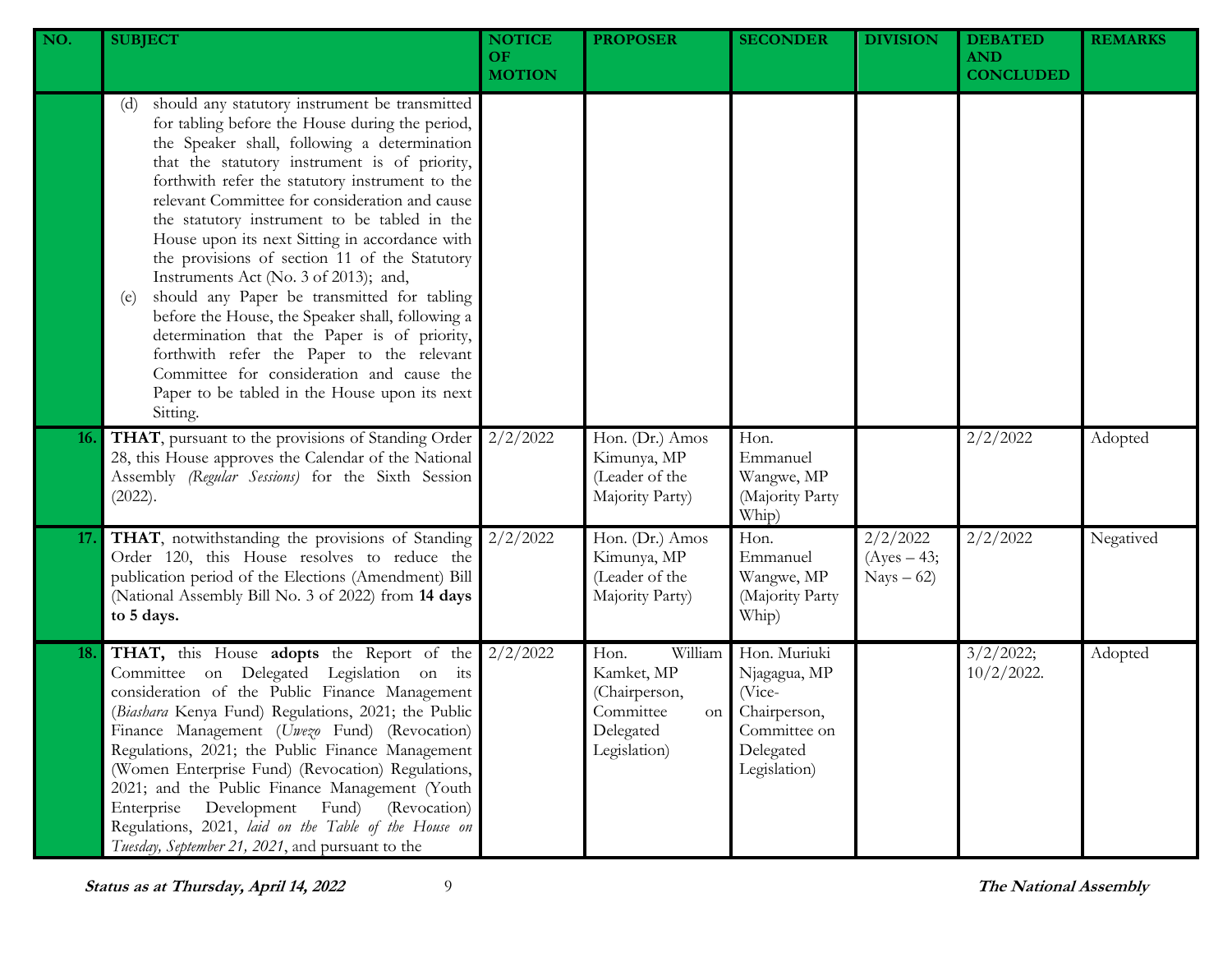| NO.        | <b>SUBJECT</b>                                                                                                                                                                                                                                                                                                                                                                                                                                                                                                                                                                                                                                                                                                                                                                                                              | <b>NOTICE</b><br><b>OF</b><br><b>MOTION</b> | <b>PROPOSER</b>                                                                                | <b>SECONDER</b>                                                                                     | <b>DIVISION</b>                          | <b>DEBATED</b><br><b>AND</b><br><b>CONCLUDED</b> | <b>REMARKS</b> |
|------------|-----------------------------------------------------------------------------------------------------------------------------------------------------------------------------------------------------------------------------------------------------------------------------------------------------------------------------------------------------------------------------------------------------------------------------------------------------------------------------------------------------------------------------------------------------------------------------------------------------------------------------------------------------------------------------------------------------------------------------------------------------------------------------------------------------------------------------|---------------------------------------------|------------------------------------------------------------------------------------------------|-----------------------------------------------------------------------------------------------------|------------------------------------------|--------------------------------------------------|----------------|
|            | should any statutory instrument be transmitted<br>(d)<br>for tabling before the House during the period,<br>the Speaker shall, following a determination<br>that the statutory instrument is of priority,<br>forthwith refer the statutory instrument to the<br>relevant Committee for consideration and cause<br>the statutory instrument to be tabled in the<br>House upon its next Sitting in accordance with<br>the provisions of section 11 of the Statutory<br>Instruments Act (No. 3 of 2013); and,<br>should any Paper be transmitted for tabling<br>(e)<br>before the House, the Speaker shall, following a<br>determination that the Paper is of priority,<br>forthwith refer the Paper to the relevant<br>Committee for consideration and cause the<br>Paper to be tabled in the House upon its next<br>Sitting. |                                             |                                                                                                |                                                                                                     |                                          |                                                  |                |
| <b>16.</b> | THAT, pursuant to the provisions of Standing Order<br>28, this House approves the Calendar of the National<br>Assembly (Regular Sessions) for the Sixth Session<br>(2022).                                                                                                                                                                                                                                                                                                                                                                                                                                                                                                                                                                                                                                                  | 2/2/2022                                    | Hon. (Dr.) Amos<br>Kimunya, MP<br>(Leader of the<br>Majority Party)                            | Hon.<br>Emmanuel<br>Wangwe, MP<br>(Majority Party<br>Whip)                                          |                                          | 2/2/2022                                         | Adopted        |
| 17.        | THAT, notwithstanding the provisions of Standing<br>Order 120, this House resolves to reduce the<br>publication period of the Elections (Amendment) Bill<br>(National Assembly Bill No. 3 of 2022) from 14 days<br>to 5 days.                                                                                                                                                                                                                                                                                                                                                                                                                                                                                                                                                                                               | 2/2/2022                                    | Hon. (Dr.) Amos<br>Kimunya, MP<br>(Leader of the<br>Majority Party)                            | Hon.<br>Emmanuel<br>Wangwe, MP<br>(Majority Party<br>Whip)                                          | 2/2/2022<br>$(Ayes - 43;$<br>$Nays - 62$ | 2/2/2022                                         | Negatived      |
| 18.        | THAT, this House adopts the Report of the<br>Committee on Delegated Legislation on its<br>consideration of the Public Finance Management<br>(Biashara Kenya Fund) Regulations, 2021; the Public<br>Finance Management (Uwezo Fund) (Revocation)<br>Regulations, 2021; the Public Finance Management<br>(Women Enterprise Fund) (Revocation) Regulations,<br>2021; and the Public Finance Management (Youth<br>(Revocation)<br>Enterprise<br>Development<br>Fund)<br>Regulations, 2021, laid on the Table of the House on<br>Tuesday, September 21, 2021, and pursuant to the                                                                                                                                                                                                                                                | 2/2/2022                                    | Hon.<br>William<br>Kamket, MP<br>(Chairperson,<br>Committee<br>on<br>Delegated<br>Legislation) | Hon. Muriuki<br>Njagagua, MP<br>(Vice-<br>Chairperson,<br>Committee on<br>Delegated<br>Legislation) |                                          | 3/2/2022;<br>$10/2/2022$ .                       | Adopted        |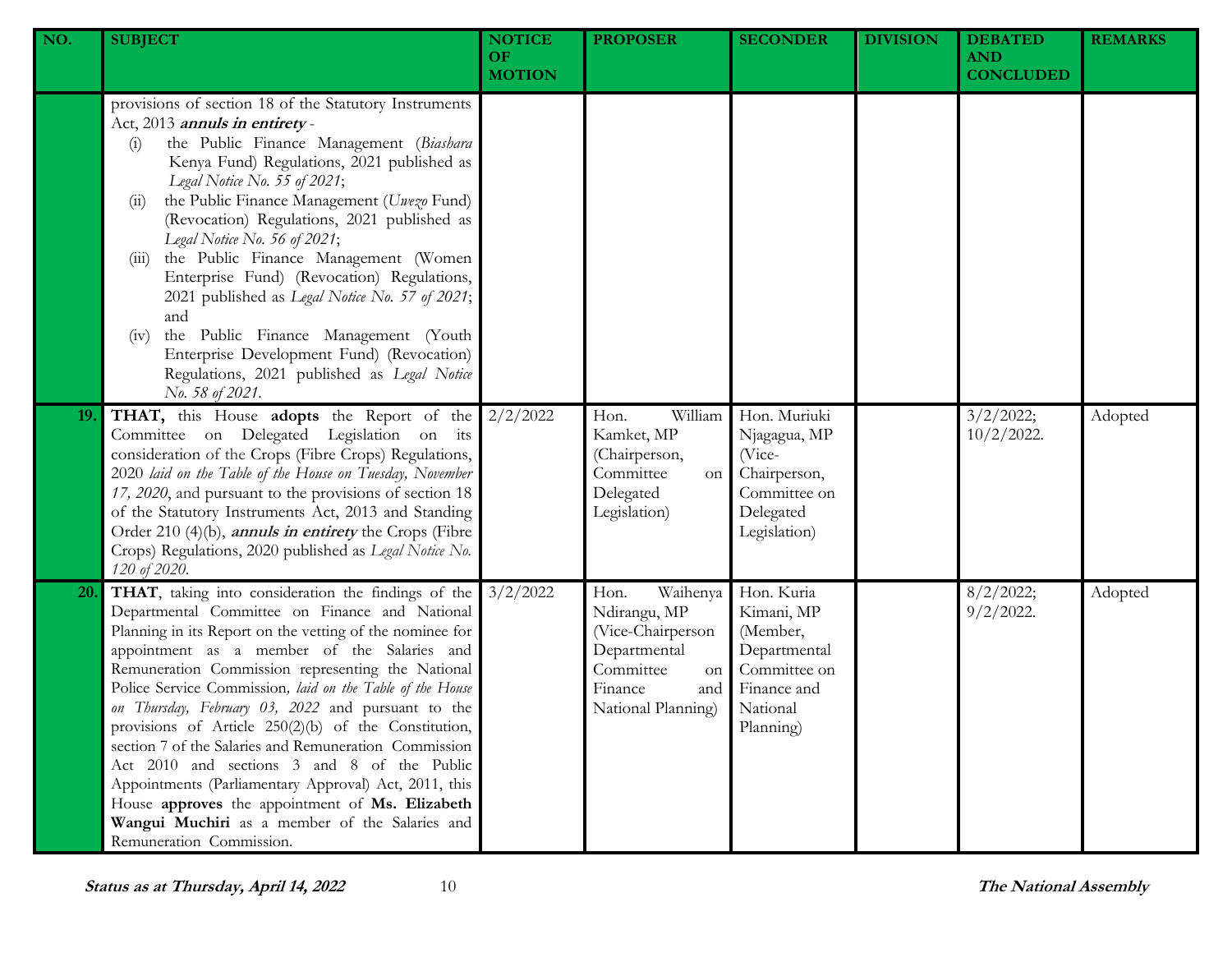| NO.       | <b>SUBJECT</b>                                                                                                                                                                                                                                                                                                                                                                                                                                                                                                                                                                                                                                                                                                                                     | <b>NOTICE</b><br><b>OF</b><br><b>MOTION</b> | <b>PROPOSER</b>                                                                                                                  | <b>SECONDER</b>                                                                                              | <b>DIVISION</b> | <b>DEBATED</b><br><b>AND</b><br><b>CONCLUDED</b> | <b>REMARKS</b> |
|-----------|----------------------------------------------------------------------------------------------------------------------------------------------------------------------------------------------------------------------------------------------------------------------------------------------------------------------------------------------------------------------------------------------------------------------------------------------------------------------------------------------------------------------------------------------------------------------------------------------------------------------------------------------------------------------------------------------------------------------------------------------------|---------------------------------------------|----------------------------------------------------------------------------------------------------------------------------------|--------------------------------------------------------------------------------------------------------------|-----------------|--------------------------------------------------|----------------|
|           | provisions of section 18 of the Statutory Instruments<br>Act, 2013 annuls in entirety-<br>the Public Finance Management (Biashara<br>(i)<br>Kenya Fund) Regulations, 2021 published as<br>Legal Notice No. 55 of 2021;<br>the Public Finance Management (Uwezo Fund)<br>(11)<br>(Revocation) Regulations, 2021 published as<br>Legal Notice No. 56 of 2021;<br>the Public Finance Management (Women<br>(111)<br>Enterprise Fund) (Revocation) Regulations,<br>2021 published as Legal Notice No. 57 of 2021;<br>and<br>the Public Finance Management (Youth<br>(v)<br>Enterprise Development Fund) (Revocation)<br>Regulations, 2021 published as Legal Notice<br>No. 58 of 2021.                                                                  |                                             |                                                                                                                                  |                                                                                                              |                 |                                                  |                |
| 19.       | <b>THAT,</b> this House <b>adopts</b> the Report of the $2/2/2022$<br>Committee on Delegated Legislation on its<br>consideration of the Crops (Fibre Crops) Regulations,<br>2020 laid on the Table of the House on Tuesday, November<br>17, 2020, and pursuant to the provisions of section 18<br>of the Statutory Instruments Act, 2013 and Standing<br>Order 210 (4)(b), <i>annuls in entirety</i> the Crops (Fibre<br>Crops) Regulations, 2020 published as Legal Notice No.<br>120 of 2020.                                                                                                                                                                                                                                                    |                                             | William<br>Hon.<br>Kamket, MP<br>(Chairperson,<br>Committee<br>on<br>Delegated<br>Legislation)                                   | Hon. Muriuki<br>Njagagua, MP<br>$($ Vice-<br>Chairperson,<br>Committee on<br>Delegated<br>Legislation)       |                 | 3/2/2022;<br>$10/2/2022$ .                       | Adopted        |
| <b>20</b> | THAT, taking into consideration the findings of the<br>Departmental Committee on Finance and National<br>Planning in its Report on the vetting of the nominee for<br>appointment as a member of the Salaries and<br>Remuneration Commission representing the National<br>Police Service Commission, laid on the Table of the House<br>on Thursday, February 03, 2022 and pursuant to the<br>provisions of Article 250(2)(b) of the Constitution,<br>section 7 of the Salaries and Remuneration Commission<br>Act 2010 and sections 3 and 8 of the Public<br>Appointments (Parliamentary Approval) Act, 2011, this<br>House approves the appointment of Ms. Elizabeth<br>Wangui Muchiri as a member of the Salaries and<br>Remuneration Commission. | 3/2/2022                                    | Waihenya<br>Hon.<br>Ndirangu, MP<br>(Vice-Chairperson<br>Departmental<br>Committee<br>on<br>Finance<br>and<br>National Planning) | Hon. Kuria<br>Kimani, MP<br>(Member,<br>Departmental<br>Committee on<br>Finance and<br>National<br>Planning) |                 | 8/2/2022;<br>$9/2/2022$ .                        | Adopted        |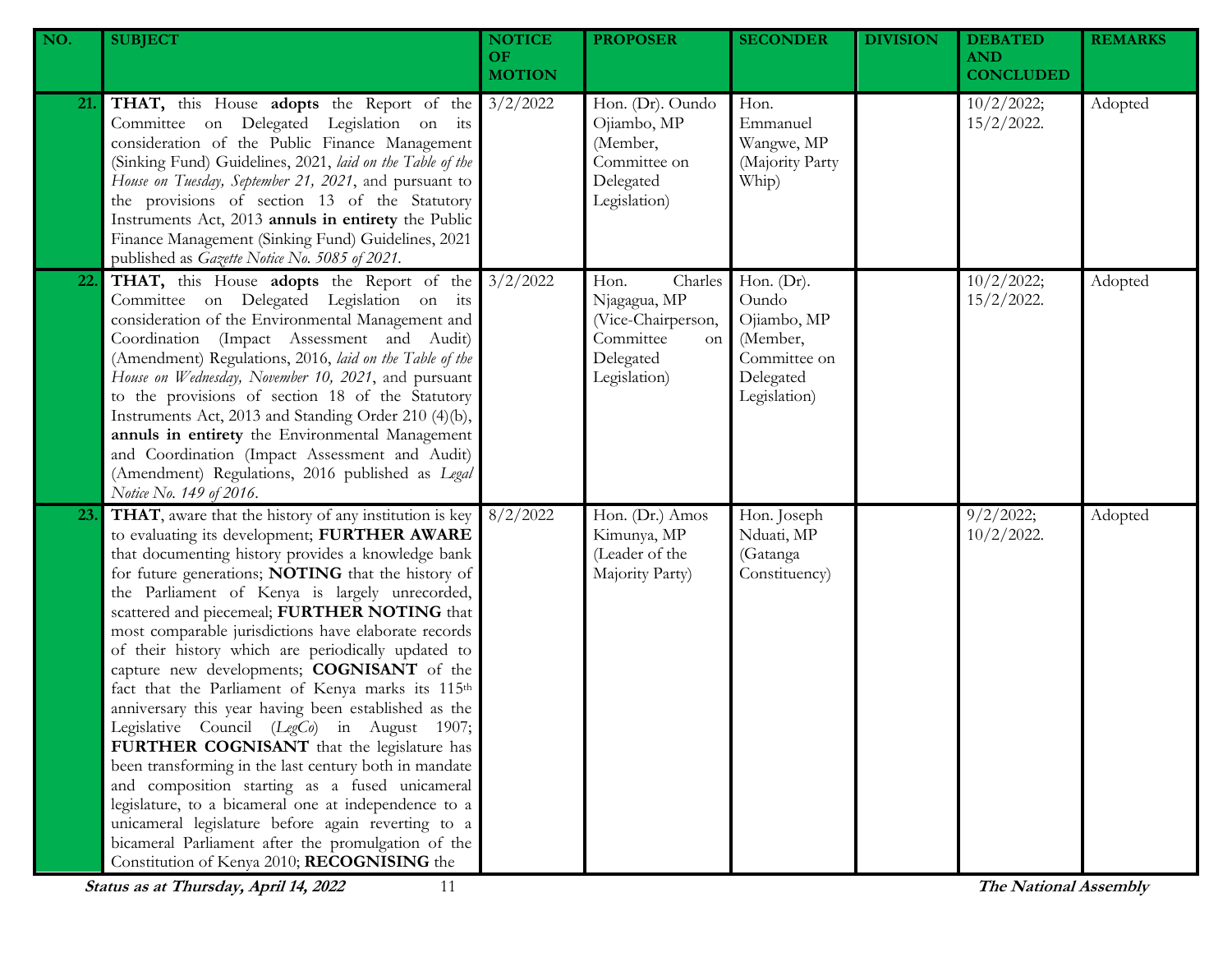| NO. | <b>SUBJECT</b>                                                                                                                                                                                                                                                                                                                                                                                                                                                                                                                                                                                                                                                                                                                                                                                                                                                                                                                                                                                                           | <b>NOTICE</b><br>OF.<br><b>MOTION</b> | <b>PROPOSER</b>                                                                                              | <b>SECONDER</b>                                                                                | <b>DIVISION</b> | <b>DEBATED</b><br><b>AND</b><br><b>CONCLUDED</b> | <b>REMARKS</b> |
|-----|--------------------------------------------------------------------------------------------------------------------------------------------------------------------------------------------------------------------------------------------------------------------------------------------------------------------------------------------------------------------------------------------------------------------------------------------------------------------------------------------------------------------------------------------------------------------------------------------------------------------------------------------------------------------------------------------------------------------------------------------------------------------------------------------------------------------------------------------------------------------------------------------------------------------------------------------------------------------------------------------------------------------------|---------------------------------------|--------------------------------------------------------------------------------------------------------------|------------------------------------------------------------------------------------------------|-----------------|--------------------------------------------------|----------------|
| 21. | <b>THAT,</b> this House <b>adopts</b> the Report of the 3/2/2022<br>Committee on Delegated Legislation on its<br>consideration of the Public Finance Management<br>(Sinking Fund) Guidelines, 2021, laid on the Table of the<br>House on Tuesday, September 21, 2021, and pursuant to<br>the provisions of section 13 of the Statutory<br>Instruments Act, 2013 annuls in entirety the Public<br>Finance Management (Sinking Fund) Guidelines, 2021<br>published as Gazette Notice No. 5085 of 2021.                                                                                                                                                                                                                                                                                                                                                                                                                                                                                                                     |                                       | Hon. (Dr). Oundo<br>Ojiambo, MP<br>(Member,<br>Committee on<br>Delegated<br>Legislation)                     | Hon.<br>Emmanuel<br>Wangwe, MP<br>(Majority Party<br>Whip)                                     |                 | 10/2/2022;<br>$15/2/2022$ .                      | Adopted        |
| 22. | <b>THAT,</b> this House <b>adopts</b> the Report of the 3/2/2022<br>Committee on Delegated Legislation on its<br>consideration of the Environmental Management and<br>Coordination (Impact Assessment and Audit)<br>(Amendment) Regulations, 2016, laid on the Table of the<br>House on Wednesday, November 10, 2021, and pursuant<br>to the provisions of section 18 of the Statutory<br>Instruments Act, 2013 and Standing Order 210 (4)(b),<br>annuls in entirety the Environmental Management<br>and Coordination (Impact Assessment and Audit)<br>(Amendment) Regulations, 2016 published as Legal<br>Notice No. 149 of 2016.                                                                                                                                                                                                                                                                                                                                                                                       |                                       | Charles<br>Hon.<br>Njagagua, MP<br>(Vice-Chairperson,<br>Committee<br><b>on</b><br>Delegated<br>Legislation) | Hon. $(Dr)$ .<br>Oundo<br>Ojiambo, MP<br>(Member,<br>Committee on<br>Delegated<br>Legislation) |                 | 10/2/2022;<br>$15/2/2022$ .                      | Adopted        |
| 23. | THAT, aware that the history of any institution is key<br>to evaluating its development; FURTHER AWARE<br>that documenting history provides a knowledge bank<br>for future generations; NOTING that the history of<br>the Parliament of Kenya is largely unrecorded,<br>scattered and piecemeal; FURTHER NOTING that<br>most comparable jurisdictions have elaborate records<br>of their history which are periodically updated to<br>capture new developments; COGNISANT of the<br>fact that the Parliament of Kenya marks its 115th<br>anniversary this year having been established as the<br>Legislative Council (LegCo) in August 1907;<br>FURTHER COGNISANT that the legislature has<br>been transforming in the last century both in mandate<br>and composition starting as a fused unicameral<br>legislature, to a bicameral one at independence to a<br>unicameral legislature before again reverting to a<br>bicameral Parliament after the promulgation of the<br>Constitution of Kenya 2010; RECOGNISING the | 8/2/2022                              | Hon. (Dr.) Amos<br>Kimunya, MP<br>(Leader of the<br>Majority Party)                                          | Hon. Joseph<br>Nduati, MP<br>(Gatanga<br>Constituency)                                         |                 | 9/2/2022;<br>$10/2/2022$ .                       | Adopted        |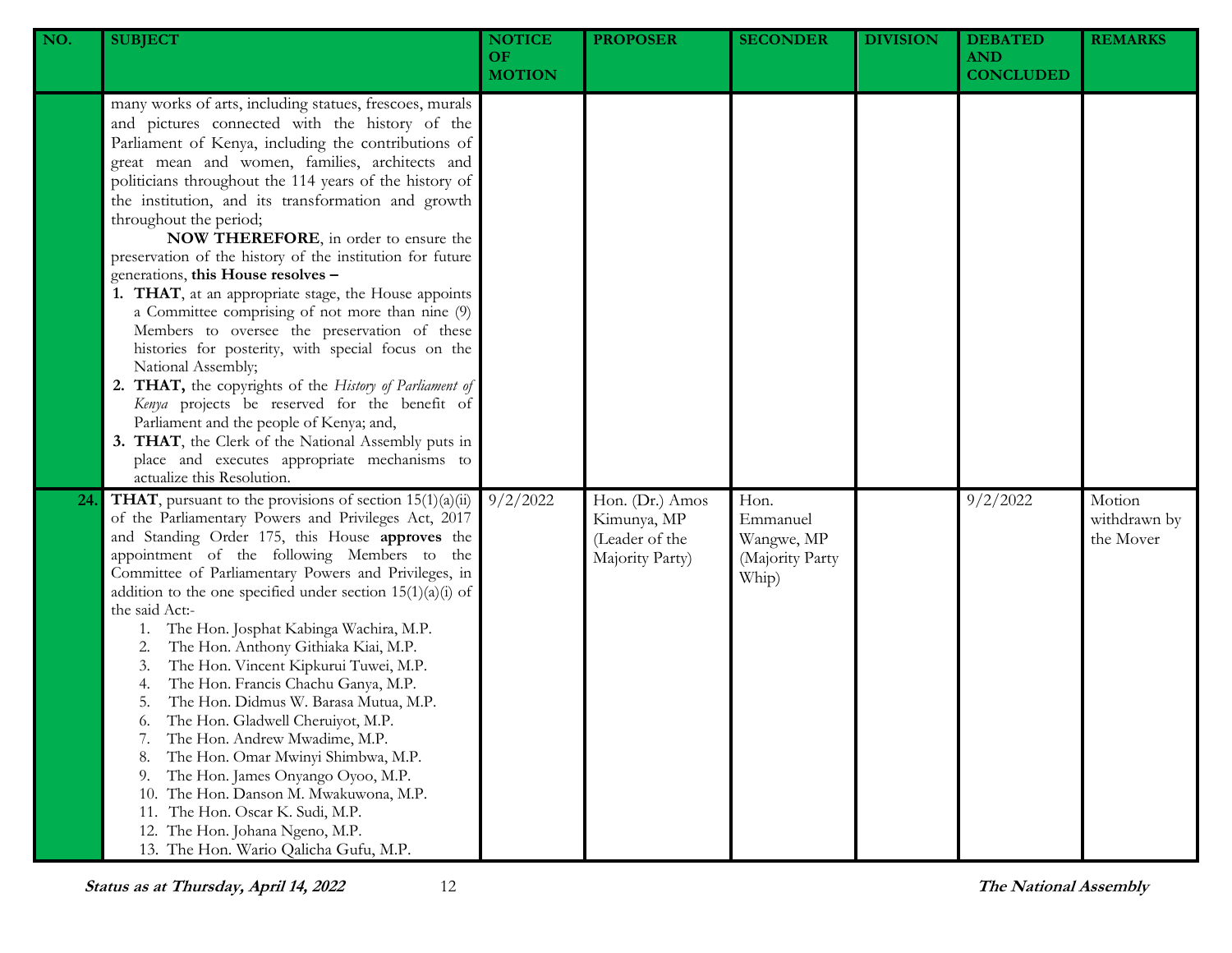| NO. | <b>SUBJECT</b>                                                                                                                                                                                                                                                                                                                                                                                                                                                                                                                                                                                                                                                                                                                                                                                                                                                                                                                                                                                                                                | <b>NOTICE</b><br>OF.<br><b>MOTION</b> | <b>PROPOSER</b>                                                     | <b>SECONDER</b>                                            | <b>DIVISION</b> | <b>DEBATED</b><br><b>AND</b><br><b>CONCLUDED</b> | <b>REMARKS</b>                      |
|-----|-----------------------------------------------------------------------------------------------------------------------------------------------------------------------------------------------------------------------------------------------------------------------------------------------------------------------------------------------------------------------------------------------------------------------------------------------------------------------------------------------------------------------------------------------------------------------------------------------------------------------------------------------------------------------------------------------------------------------------------------------------------------------------------------------------------------------------------------------------------------------------------------------------------------------------------------------------------------------------------------------------------------------------------------------|---------------------------------------|---------------------------------------------------------------------|------------------------------------------------------------|-----------------|--------------------------------------------------|-------------------------------------|
|     | many works of arts, including statues, frescoes, murals<br>and pictures connected with the history of the<br>Parliament of Kenya, including the contributions of<br>great mean and women, families, architects and<br>politicians throughout the 114 years of the history of<br>the institution, and its transformation and growth<br>throughout the period;<br>NOW THEREFORE, in order to ensure the<br>preservation of the history of the institution for future<br>generations, this House resolves -<br>1. THAT, at an appropriate stage, the House appoints<br>a Committee comprising of not more than nine (9)<br>Members to oversee the preservation of these<br>histories for posterity, with special focus on the<br>National Assembly;<br>2. THAT, the copyrights of the History of Parliament of<br>Kenya projects be reserved for the benefit of<br>Parliament and the people of Kenya; and,<br>3. THAT, the Clerk of the National Assembly puts in<br>place and executes appropriate mechanisms to<br>actualize this Resolution. |                                       |                                                                     |                                                            |                 |                                                  |                                     |
| 24  | <b>THAT</b> , pursuant to the provisions of section $15(1)(a)(ii)$<br>of the Parliamentary Powers and Privileges Act, 2017<br>and Standing Order 175, this House approves the<br>appointment of the following Members to the<br>Committee of Parliamentary Powers and Privileges, in<br>addition to the one specified under section $15(1)(a)(i)$ of<br>the said Act:-<br>The Hon. Josphat Kabinga Wachira, M.P.<br>1.<br>The Hon. Anthony Githiaka Kiai, M.P.<br>2.<br>The Hon. Vincent Kipkurui Tuwei, M.P.<br>3.<br>The Hon. Francis Chachu Ganya, M.P.<br>4.<br>The Hon. Didmus W. Barasa Mutua, M.P.<br>5.<br>The Hon. Gladwell Cheruiyot, M.P.<br>6.<br>The Hon. Andrew Mwadime, M.P.<br>7.<br>The Hon. Omar Mwinyi Shimbwa, M.P.<br>8.<br>The Hon. James Onyango Oyoo, M.P.<br>9.<br>The Hon. Danson M. Mwakuwona, M.P.<br>10.<br>The Hon. Oscar K. Sudi, M.P.<br>11.<br>12. The Hon. Johana Ngeno, M.P.<br>13. The Hon. Wario Qalicha Gufu, M.P.                                                                                      | 9/2/2022                              | Hon. (Dr.) Amos<br>Kimunya, MP<br>(Leader of the<br>Majority Party) | Hon.<br>Emmanuel<br>Wangwe, MP<br>(Majority Party<br>Whip) |                 | 9/2/2022                                         | Motion<br>withdrawn by<br>the Mover |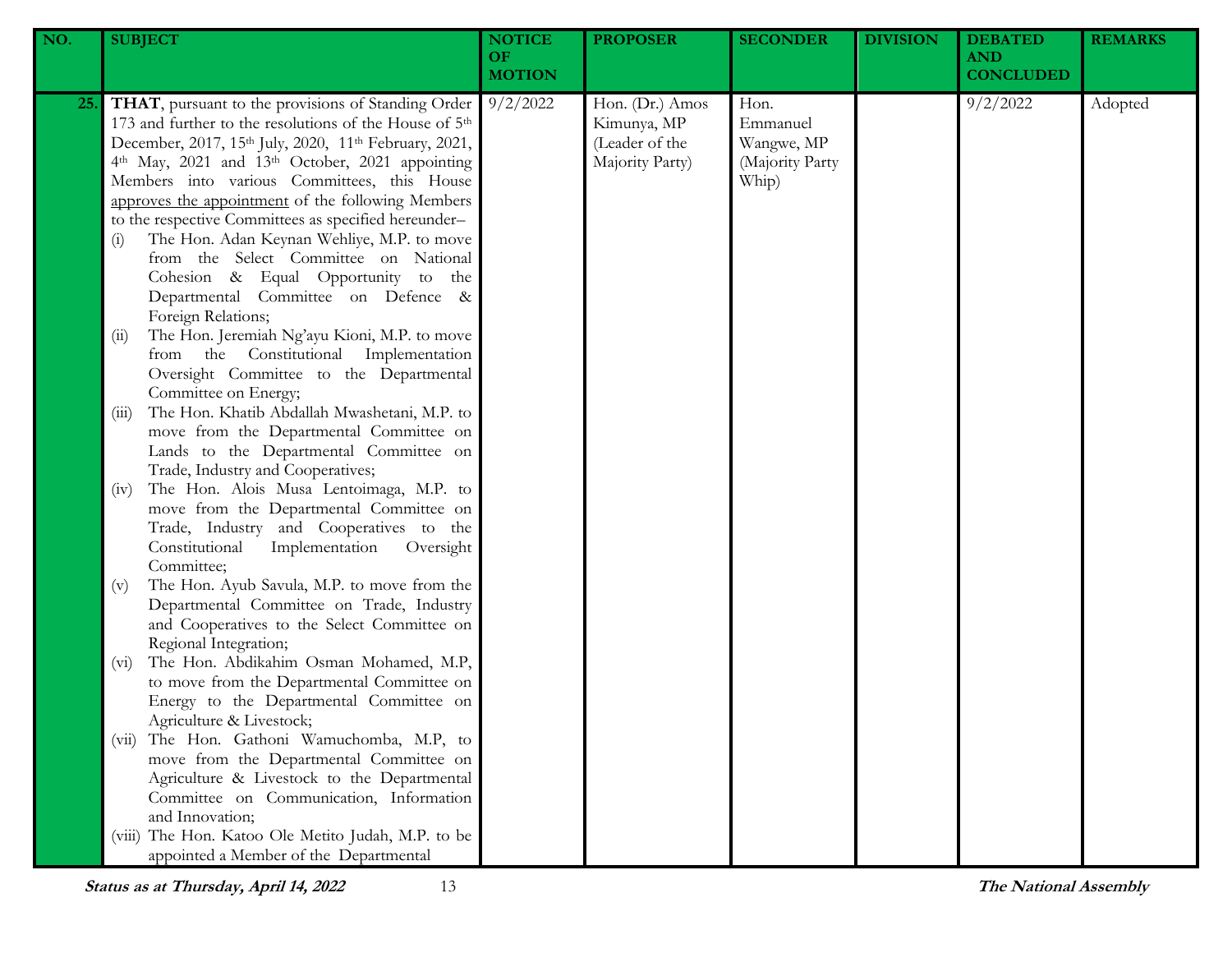| NO.        | <b>SUBJECT</b>                                                                                                                                                                                                                                                                                                                                                                                                                                                                                                                                                                                                                                                   | <b>NOTICE</b><br><b>OF</b><br><b>MOTION</b> | <b>PROPOSER</b>                                                     | <b>SECONDER</b>                                            | <b>DIVISION</b> | <b>DEBATED</b><br><b>AND</b><br><b>CONCLUDED</b> | <b>REMARKS</b> |  |  |  |  |  |  |  |  |
|------------|------------------------------------------------------------------------------------------------------------------------------------------------------------------------------------------------------------------------------------------------------------------------------------------------------------------------------------------------------------------------------------------------------------------------------------------------------------------------------------------------------------------------------------------------------------------------------------------------------------------------------------------------------------------|---------------------------------------------|---------------------------------------------------------------------|------------------------------------------------------------|-----------------|--------------------------------------------------|----------------|--|--|--|--|--|--|--|--|
| <b>25.</b> | THAT, pursuant to the provisions of Standing Order<br>173 and further to the resolutions of the House of 5 <sup>th</sup><br>December, 2017, 15th July, 2020, 11th February, 2021,<br>4th May, 2021 and 13th October, 2021 appointing<br>Members into various Committees, this House<br>approves the appointment of the following Members<br>to the respective Committees as specified hereunder-<br>The Hon. Adan Keynan Wehliye, M.P. to move<br>$\left( i\right)$<br>from the Select Committee on National<br>Cohesion & Equal Opportunity to the<br>Departmental Committee on Defence &<br>Foreign Relations;<br>The Hon. Jeremiah Ng'ayu Kioni, M.P. to move | 9/2/2022                                    | Hon. (Dr.) Amos<br>Kimunya, MP<br>(Leader of the<br>Majority Party) | Hon.<br>Emmanuel<br>Wangwe, MP<br>(Majority Party<br>Whip) |                 | 9/2/2022                                         | Adopted        |  |  |  |  |  |  |  |  |
|            | (ii)<br>from the Constitutional Implementation<br>Oversight Committee to the Departmental<br>Committee on Energy;<br>The Hon. Khatib Abdallah Mwashetani, M.P. to<br>(iii)                                                                                                                                                                                                                                                                                                                                                                                                                                                                                       |                                             |                                                                     |                                                            |                 |                                                  |                |  |  |  |  |  |  |  |  |
|            | move from the Departmental Committee on<br>Lands to the Departmental Committee on<br>Trade, Industry and Cooperatives;<br>The Hon. Alois Musa Lentoimaga, M.P. to<br>(iv)                                                                                                                                                                                                                                                                                                                                                                                                                                                                                        |                                             |                                                                     |                                                            |                 |                                                  |                |  |  |  |  |  |  |  |  |
|            | move from the Departmental Committee on<br>Trade, Industry and Cooperatives to the<br>Constitutional<br>Implementation<br>Oversight<br>Committee;                                                                                                                                                                                                                                                                                                                                                                                                                                                                                                                |                                             |                                                                     |                                                            |                 |                                                  |                |  |  |  |  |  |  |  |  |
|            | The Hon. Ayub Savula, M.P. to move from the<br>(v)<br>Departmental Committee on Trade, Industry<br>and Cooperatives to the Select Committee on<br>Regional Integration;                                                                                                                                                                                                                                                                                                                                                                                                                                                                                          |                                             |                                                                     |                                                            |                 |                                                  |                |  |  |  |  |  |  |  |  |
|            | The Hon. Abdikahim Osman Mohamed, M.P,<br>$(v_i)$<br>to move from the Departmental Committee on<br>Energy to the Departmental Committee on<br>Agriculture & Livestock;<br>The Hon. Gathoni Wamuchomba, M.P, to<br>(vii)                                                                                                                                                                                                                                                                                                                                                                                                                                          |                                             |                                                                     |                                                            |                 |                                                  |                |  |  |  |  |  |  |  |  |
|            | move from the Departmental Committee on<br>Agriculture & Livestock to the Departmental<br>Committee on Communication, Information<br>and Innovation;                                                                                                                                                                                                                                                                                                                                                                                                                                                                                                             |                                             |                                                                     |                                                            |                 |                                                  |                |  |  |  |  |  |  |  |  |
|            | The Hon. Katoo Ole Metito Judah, M.P. to be<br>(V111)<br>appointed a Member of the Departmental                                                                                                                                                                                                                                                                                                                                                                                                                                                                                                                                                                  |                                             |                                                                     |                                                            |                 |                                                  |                |  |  |  |  |  |  |  |  |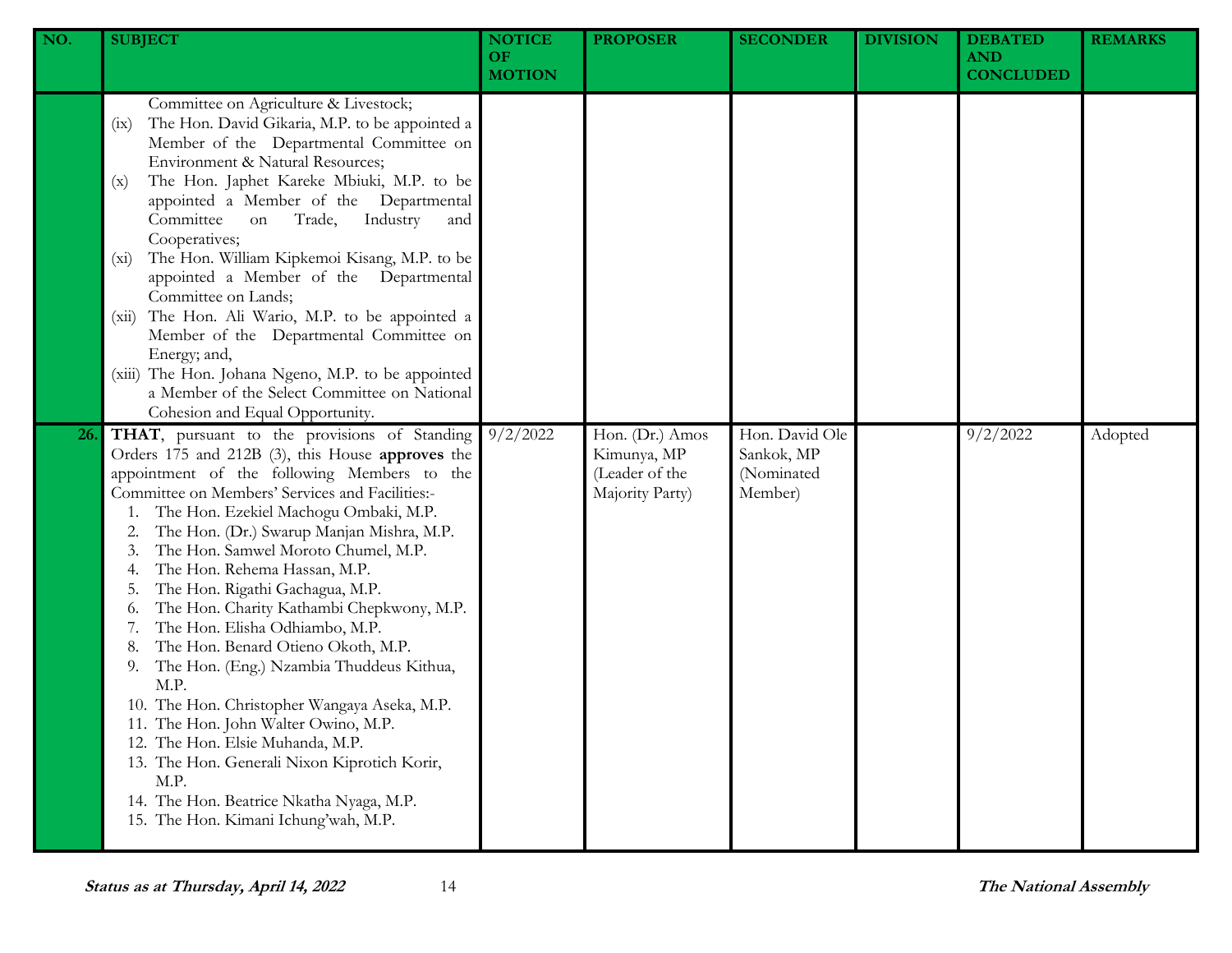| NO. | <b>SUBJECT</b>                                                                                                                                                                                                                                                                                                                                                                                                                                                                                                                                                                                                                                                                                                                                                                                                                                                  | <b>NOTICE</b><br><b>OF</b><br><b>MOTION</b> | <b>PROPOSER</b>                                                     | <b>SECONDER</b>                                       | <b>DIVISION</b> | <b>DEBATED</b><br><b>AND</b><br><b>CONCLUDED</b> | <b>REMARKS</b> |
|-----|-----------------------------------------------------------------------------------------------------------------------------------------------------------------------------------------------------------------------------------------------------------------------------------------------------------------------------------------------------------------------------------------------------------------------------------------------------------------------------------------------------------------------------------------------------------------------------------------------------------------------------------------------------------------------------------------------------------------------------------------------------------------------------------------------------------------------------------------------------------------|---------------------------------------------|---------------------------------------------------------------------|-------------------------------------------------------|-----------------|--------------------------------------------------|----------------|
|     | Committee on Agriculture & Livestock;<br>The Hon. David Gikaria, M.P. to be appointed a<br>(ix)<br>Member of the Departmental Committee on<br>Environment & Natural Resources;<br>The Hon. Japhet Kareke Mbiuki, M.P. to be<br>(x)<br>appointed a Member of the Departmental<br>Committee<br>Industry<br>Trade,<br>on<br>and<br>Cooperatives;<br>The Hon. William Kipkemoi Kisang, M.P. to be<br>$(x_i)$<br>appointed a Member of the Departmental<br>Committee on Lands;<br>The Hon. Ali Wario, M.P. to be appointed a<br>(xii)<br>Member of the Departmental Committee on<br>Energy; and,<br>(xiii) The Hon. Johana Ngeno, M.P. to be appointed<br>a Member of the Select Committee on National<br>Cohesion and Equal Opportunity.                                                                                                                            |                                             |                                                                     |                                                       |                 |                                                  |                |
| 26. | THAT, pursuant to the provisions of Standing<br>Orders 175 and 212B (3), this House approves the<br>appointment of the following Members to the<br>Committee on Members' Services and Facilities:-<br>The Hon. Ezekiel Machogu Ombaki, M.P.<br>The Hon. (Dr.) Swarup Manjan Mishra, M.P.<br>The Hon. Samwel Moroto Chumel, M.P.<br>The Hon. Rehema Hassan, M.P.<br>The Hon. Rigathi Gachagua, M.P.<br>The Hon. Charity Kathambi Chepkwony, M.P.<br>0.<br>The Hon. Elisha Odhiambo, M.P.<br>The Hon. Benard Otieno Okoth, M.P.<br>The Hon. (Eng.) Nzambia Thuddeus Kithua,<br>9.<br>M.P.<br>10. The Hon. Christopher Wangaya Aseka, M.P.<br>11. The Hon. John Walter Owino, M.P.<br>12. The Hon. Elsie Muhanda, M.P.<br>13. The Hon. Generali Nixon Kiprotich Korir,<br>M.P.<br>14. The Hon. Beatrice Nkatha Nyaga, M.P.<br>15. The Hon. Kimani Ichung'wah, M.P. | 9/2/2022                                    | Hon. (Dr.) Amos<br>Kimunya, MP<br>(Leader of the<br>Majority Party) | Hon. David Ole<br>Sankok, MP<br>(Nominated<br>Member) |                 | 9/2/2022                                         | Adopted        |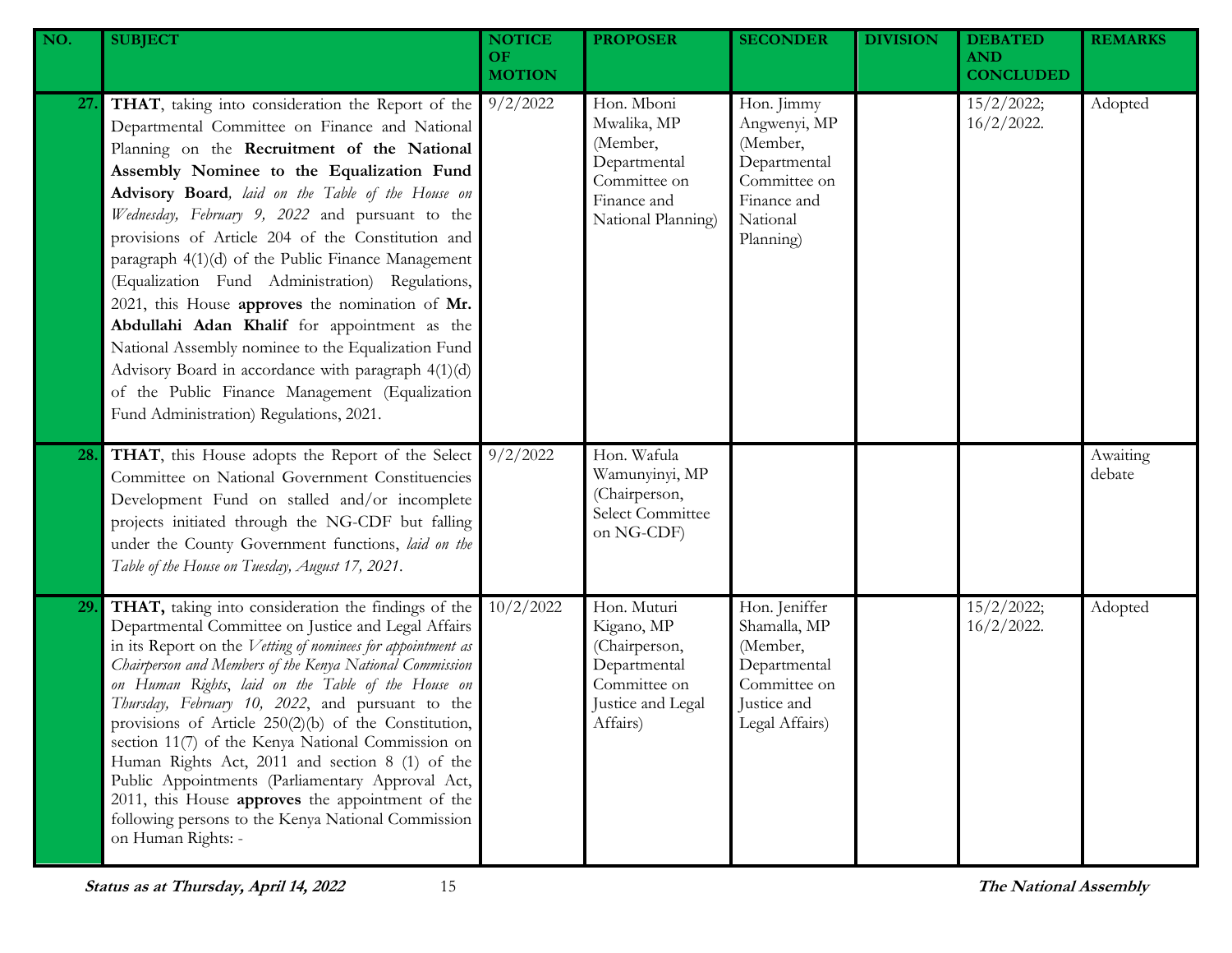| NO. | <b>SUBJECT</b>                                                                                                                                                                                                                                                                                                                                                                                                                                                                                                                                                                                                                                                                                                                                                                     | <b>NOTICE</b><br>OF.<br><b>MOTION</b> | <b>PROPOSER</b>                                                                                             | <b>SECONDER</b>                                                                                                | <b>DIVISION</b> | <b>DEBATED</b><br><b>AND</b><br><b>CONCLUDED</b> | <b>REMARKS</b>     |
|-----|------------------------------------------------------------------------------------------------------------------------------------------------------------------------------------------------------------------------------------------------------------------------------------------------------------------------------------------------------------------------------------------------------------------------------------------------------------------------------------------------------------------------------------------------------------------------------------------------------------------------------------------------------------------------------------------------------------------------------------------------------------------------------------|---------------------------------------|-------------------------------------------------------------------------------------------------------------|----------------------------------------------------------------------------------------------------------------|-----------------|--------------------------------------------------|--------------------|
| 27. | THAT, taking into consideration the Report of the<br>Departmental Committee on Finance and National<br>Planning on the Recruitment of the National<br>Assembly Nominee to the Equalization Fund<br>Advisory Board, laid on the Table of the House on<br>Wednesday, February 9, 2022 and pursuant to the<br>provisions of Article 204 of the Constitution and<br>paragraph 4(1)(d) of the Public Finance Management<br>(Equalization Fund Administration) Regulations,<br>2021, this House approves the nomination of Mr.<br>Abdullahi Adan Khalif for appointment as the<br>National Assembly nominee to the Equalization Fund<br>Advisory Board in accordance with paragraph 4(1)(d)<br>of the Public Finance Management (Equalization<br>Fund Administration) Regulations, 2021. | 9/2/2022                              | Hon. Mboni<br>Mwalika, MP<br>(Member,<br>Departmental<br>Committee on<br>Finance and<br>National Planning)  | Hon. Jimmy<br>Angwenyi, MP<br>(Member,<br>Departmental<br>Committee on<br>Finance and<br>National<br>Planning) |                 | 15/2/2022;<br>$16/2/2022$ .                      | Adopted            |
| 28. | THAT, this House adopts the Report of the Select<br>Committee on National Government Constituencies<br>Development Fund on stalled and/or incomplete<br>projects initiated through the NG-CDF but falling<br>under the County Government functions, laid on the<br>Table of the House on Tuesday, August 17, 2021.                                                                                                                                                                                                                                                                                                                                                                                                                                                                 | 9/2/2022                              | Hon. Wafula<br>Wamunyinyi, MP<br>(Chairperson,<br>Select Committee<br>on NG-CDF)                            |                                                                                                                |                 |                                                  | Awaiting<br>debate |
| 29. | THAT, taking into consideration the findings of the<br>Departmental Committee on Justice and Legal Affairs<br>in its Report on the Vetting of nominees for appointment as<br>Chairperson and Members of the Kenya National Commission<br>on Human Rights, laid on the Table of the House on<br>Thursday, February 10, 2022, and pursuant to the<br>provisions of Article $250(2)(b)$ of the Constitution,<br>section 11(7) of the Kenya National Commission on<br>Human Rights Act, 2011 and section 8 (1) of the<br>Public Appointments (Parliamentary Approval Act,<br>2011, this House approves the appointment of the<br>following persons to the Kenya National Commission<br>on Human Rights: -                                                                              | 10/2/2022                             | Hon. Muturi<br>Kigano, MP<br>(Chairperson,<br>Departmental<br>Committee on<br>Justice and Legal<br>Affairs) | Hon. Jeniffer<br>Shamalla, MP<br>(Member,<br>Departmental<br>Committee on<br>Justice and<br>Legal Affairs)     |                 | 15/2/2022;<br>$16/2/2022$ .                      | Adopted            |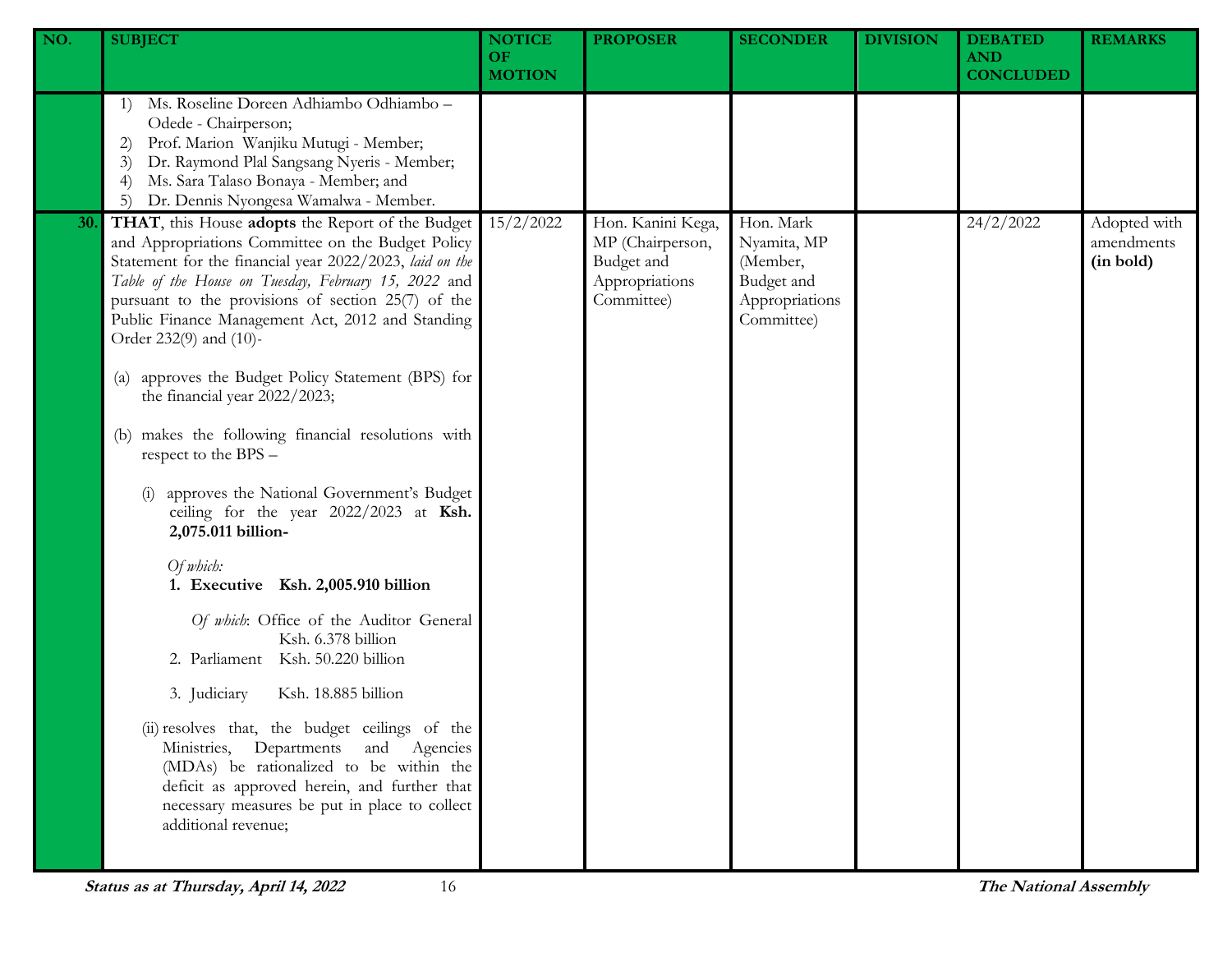| <b>DEBATED</b><br><b>REMARKS</b><br><b>CONCLUDED</b> |
|------------------------------------------------------|
|                                                      |
| 24/2/2022<br>Adopted with<br>amendments<br>(in bold) |
|                                                      |
|                                                      |
|                                                      |
|                                                      |
|                                                      |
|                                                      |
|                                                      |
|                                                      |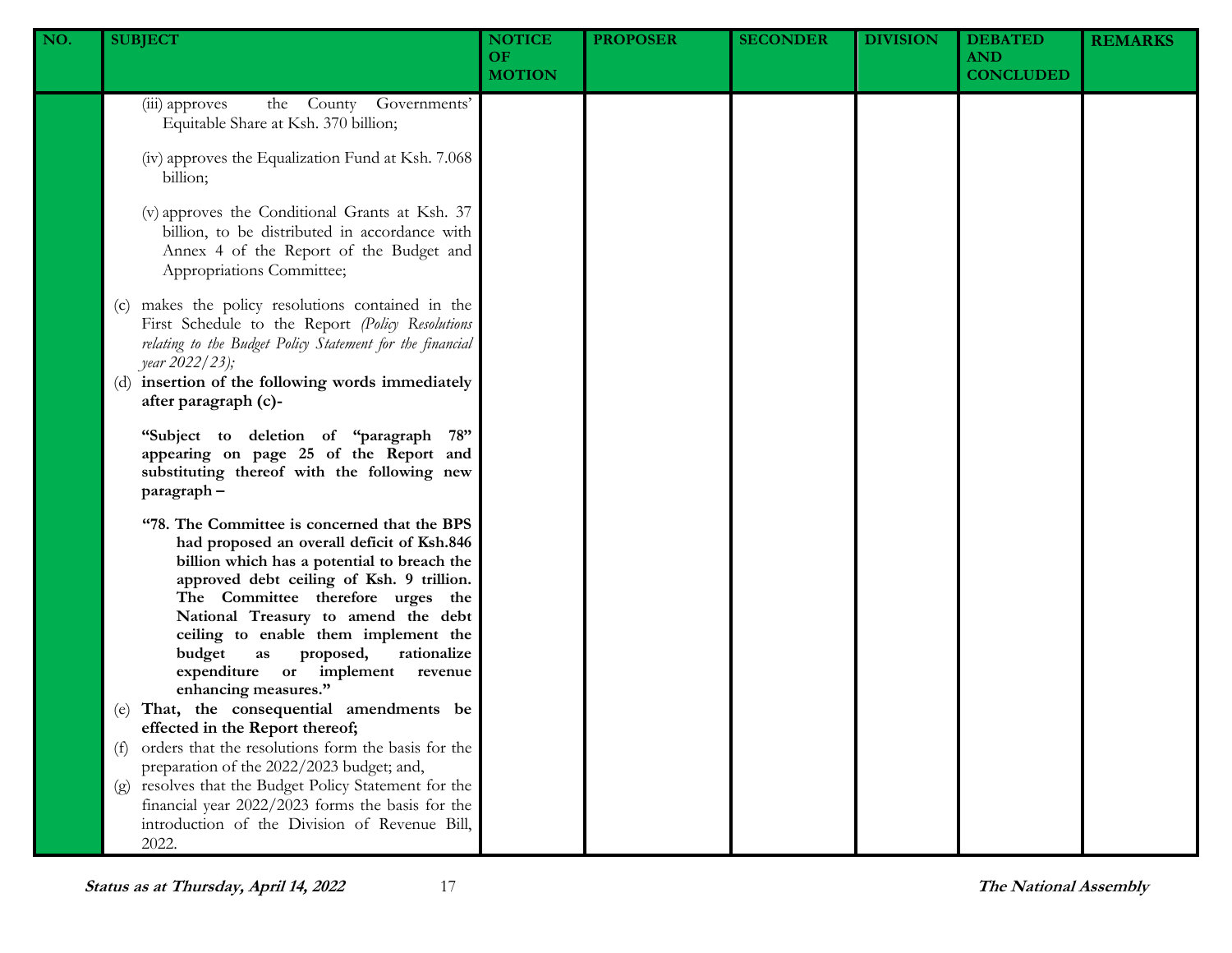| NO. | <b>SUBJECT</b>                                                                                                                                                                                                                                                                                                                                                                                                  | <b>NOTICE</b><br><b>OF</b><br><b>MOTION</b> | <b>PROPOSER</b> | <b>SECONDER</b> | <b>DIVISION</b> | <b>DEBATED</b><br><b>AND</b><br><b>CONCLUDED</b> | <b>REMARKS</b> |
|-----|-----------------------------------------------------------------------------------------------------------------------------------------------------------------------------------------------------------------------------------------------------------------------------------------------------------------------------------------------------------------------------------------------------------------|---------------------------------------------|-----------------|-----------------|-----------------|--------------------------------------------------|----------------|
|     | the County Governments'<br>(iii) approves<br>Equitable Share at Ksh. 370 billion;                                                                                                                                                                                                                                                                                                                               |                                             |                 |                 |                 |                                                  |                |
|     | (iv) approves the Equalization Fund at Ksh. 7.068<br>billion;                                                                                                                                                                                                                                                                                                                                                   |                                             |                 |                 |                 |                                                  |                |
|     | (v) approves the Conditional Grants at Ksh. 37<br>billion, to be distributed in accordance with<br>Annex 4 of the Report of the Budget and<br>Appropriations Committee;                                                                                                                                                                                                                                         |                                             |                 |                 |                 |                                                  |                |
|     | makes the policy resolutions contained in the<br>(c)<br>First Schedule to the Report (Policy Resolutions<br>relating to the Budget Policy Statement for the financial<br><i>year</i> 2022/23);<br>(d) insertion of the following words immediately<br>after paragraph (c)-                                                                                                                                      |                                             |                 |                 |                 |                                                  |                |
|     | "Subject to deletion of "paragraph 78"<br>appearing on page 25 of the Report and<br>substituting thereof with the following new<br>paragraph-                                                                                                                                                                                                                                                                   |                                             |                 |                 |                 |                                                  |                |
|     | "78. The Committee is concerned that the BPS<br>had proposed an overall deficit of Ksh.846<br>billion which has a potential to breach the<br>approved debt ceiling of Ksh. 9 trillion.<br>The Committee therefore urges the<br>National Treasury to amend the debt<br>ceiling to enable them implement the<br>budget<br>rationalize<br>as proposed,<br>expenditure or implement revenue<br>enhancing measures." |                                             |                 |                 |                 |                                                  |                |
|     | That, the consequential amendments be<br>(e)<br>effected in the Report thereof;                                                                                                                                                                                                                                                                                                                                 |                                             |                 |                 |                 |                                                  |                |
|     | orders that the resolutions form the basis for the<br>(f)<br>preparation of the 2022/2023 budget; and,                                                                                                                                                                                                                                                                                                          |                                             |                 |                 |                 |                                                  |                |
|     | (g) resolves that the Budget Policy Statement for the<br>financial year 2022/2023 forms the basis for the<br>introduction of the Division of Revenue Bill,<br>2022.                                                                                                                                                                                                                                             |                                             |                 |                 |                 |                                                  |                |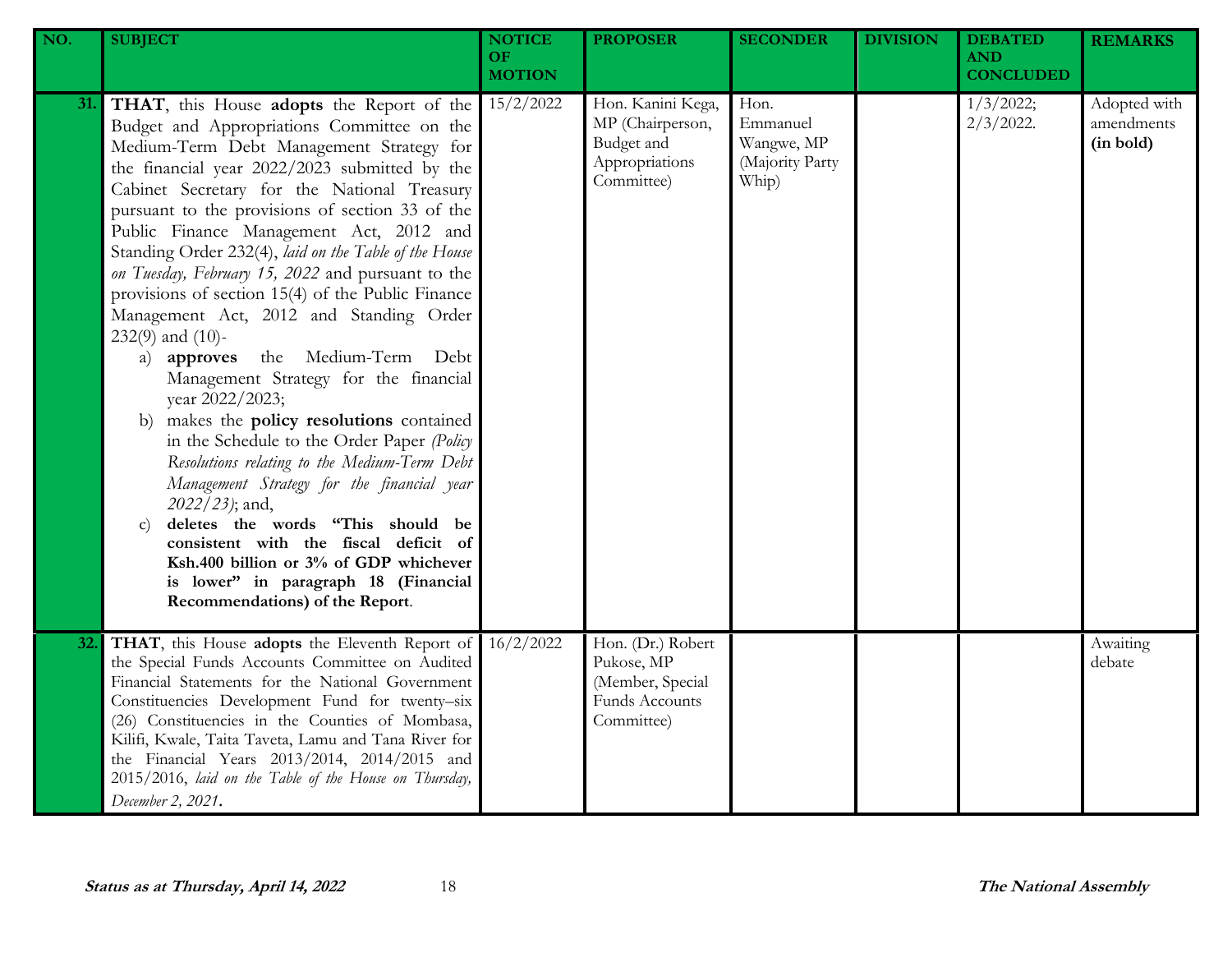| NO. | <b>SUBJECT</b>                                                                                                                                                                                                                                                                                                                                                                                                                                                                                                                                                                                                                                                                                                                                                                                                                                                                                                                                                                                                                                                                                               | <b>NOTICE</b><br><b>OF</b><br><b>MOTION</b> | <b>PROPOSER</b>                                                                            | <b>SECONDER</b>                                            | <b>DIVISION</b> | <b>DEBATED</b><br><b>AND</b><br><b>CONCLUDED</b> | <b>REMARKS</b>                          |
|-----|--------------------------------------------------------------------------------------------------------------------------------------------------------------------------------------------------------------------------------------------------------------------------------------------------------------------------------------------------------------------------------------------------------------------------------------------------------------------------------------------------------------------------------------------------------------------------------------------------------------------------------------------------------------------------------------------------------------------------------------------------------------------------------------------------------------------------------------------------------------------------------------------------------------------------------------------------------------------------------------------------------------------------------------------------------------------------------------------------------------|---------------------------------------------|--------------------------------------------------------------------------------------------|------------------------------------------------------------|-----------------|--------------------------------------------------|-----------------------------------------|
| 31. | THAT, this House adopts the Report of the<br>Budget and Appropriations Committee on the<br>Medium-Term Debt Management Strategy for<br>the financial year 2022/2023 submitted by the<br>Cabinet Secretary for the National Treasury<br>pursuant to the provisions of section 33 of the<br>Public Finance Management Act, 2012 and<br>Standing Order 232(4), laid on the Table of the House<br>on Tuesday, February 15, 2022 and pursuant to the<br>provisions of section 15(4) of the Public Finance<br>Management Act, 2012 and Standing Order<br>$232(9)$ and $(10)$ -<br>the Medium-Term Debt<br>a) approves<br>Management Strategy for the financial<br>year 2022/2023;<br>makes the policy resolutions contained<br>b)<br>in the Schedule to the Order Paper (Policy<br>Resolutions relating to the Medium-Term Debt<br>Management Strategy for the financial year<br>2022/23); and,<br>deletes the words "This should be<br>$\mathbf{C}$<br>consistent with the fiscal deficit of<br>Ksh.400 billion or 3% of GDP whichever<br>is lower" in paragraph 18 (Financial<br>Recommendations) of the Report. | 15/2/2022                                   | Hon. Kanini Kega,<br>MP (Chairperson,<br>Budget and<br>Appropriations<br>Committee)        | Hon.<br>Emmanuel<br>Wangwe, MP<br>(Majority Party<br>Whip) |                 | 1/3/2022;<br>$2/3/2022$ .                        | Adopted with<br>amendments<br>(in bold) |
| 32. | THAT, this House adopts the Eleventh Report of<br>the Special Funds Accounts Committee on Audited<br>Financial Statements for the National Government<br>Constituencies Development Fund for twenty-six<br>(26) Constituencies in the Counties of Mombasa,<br>Kilifi, Kwale, Taita Taveta, Lamu and Tana River for<br>the Financial Years 2013/2014, 2014/2015 and<br>2015/2016, laid on the Table of the House on Thursday,<br>December 2, 2021.                                                                                                                                                                                                                                                                                                                                                                                                                                                                                                                                                                                                                                                            | 16/2/2022                                   | Hon. (Dr.) Robert<br>Pukose, MP<br>(Member, Special<br><b>Funds Accounts</b><br>Committee) |                                                            |                 |                                                  | Awaiting<br>debate                      |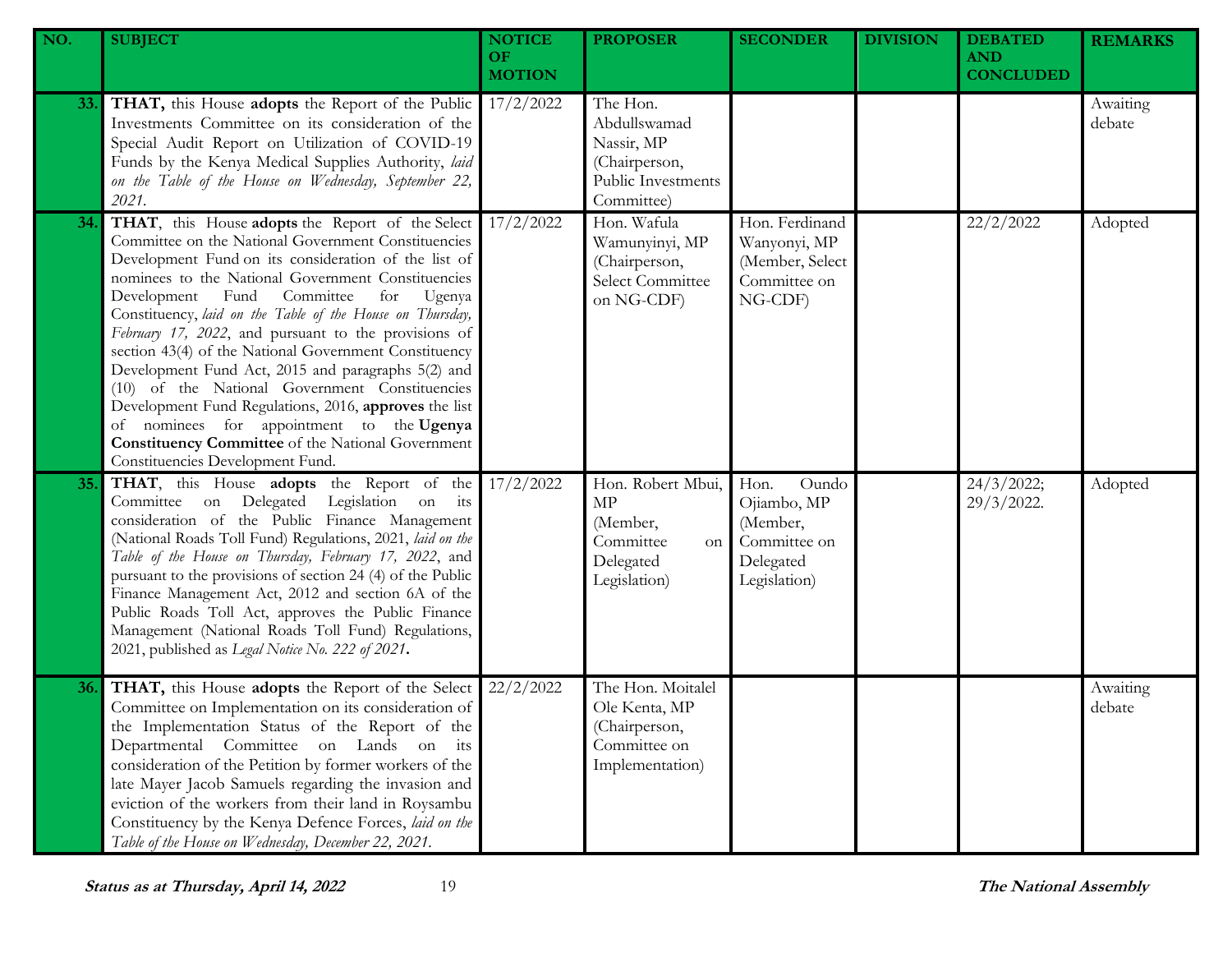| NO. | <b>SUBJECT</b>                                                                                                                                                                                                                                                                                                                                                                                                                                                                                                                                                                                                                                                                                                                                                         | <b>NOTICE</b><br>OF.<br><b>MOTION</b> | <b>PROPOSER</b>                                                                             | <b>SECONDER</b>                                                                       | <b>DIVISION</b> | <b>DEBATED</b><br><b>AND</b><br><b>CONCLUDED</b> | <b>REMARKS</b>     |
|-----|------------------------------------------------------------------------------------------------------------------------------------------------------------------------------------------------------------------------------------------------------------------------------------------------------------------------------------------------------------------------------------------------------------------------------------------------------------------------------------------------------------------------------------------------------------------------------------------------------------------------------------------------------------------------------------------------------------------------------------------------------------------------|---------------------------------------|---------------------------------------------------------------------------------------------|---------------------------------------------------------------------------------------|-----------------|--------------------------------------------------|--------------------|
| 33. | THAT, this House adopts the Report of the Public<br>Investments Committee on its consideration of the<br>Special Audit Report on Utilization of COVID-19<br>Funds by the Kenya Medical Supplies Authority, laid<br>on the Table of the House on Wednesday, September 22,<br>2021.                                                                                                                                                                                                                                                                                                                                                                                                                                                                                      | 17/2/2022                             | The Hon.<br>Abdullswamad<br>Nassir, MP<br>(Chairperson,<br>Public Investments<br>Committee) |                                                                                       |                 |                                                  | Awaiting<br>debate |
| 34. | THAT, this House adopts the Report of the Select<br>Committee on the National Government Constituencies<br>Development Fund on its consideration of the list of<br>nominees to the National Government Constituencies<br>Development<br>Committee<br>Fund<br>for<br>Ugenya<br>Constituency, laid on the Table of the House on Thursday,<br>February 17, 2022, and pursuant to the provisions of<br>section 43(4) of the National Government Constituency<br>Development Fund Act, 2015 and paragraphs 5(2) and<br>(10) of the National Government Constituencies<br>Development Fund Regulations, 2016, approves the list<br>of nominees for appointment to the Ugenya<br><b>Constituency Committee</b> of the National Government<br>Constituencies Development Fund. | 17/2/2022                             | Hon. Wafula<br>Wamunyinyi, MP<br>(Chairperson,<br>Select Committee<br>on NG-CDF)            | Hon. Ferdinand<br>Wanyonyi, MP<br>(Member, Select<br>Committee on<br>NG-CDF)          |                 | 22/2/2022                                        | Adopted            |
| 35. | THAT, this House adopts the Report of the<br>Committee on Delegated Legislation on its<br>consideration of the Public Finance Management<br>(National Roads Toll Fund) Regulations, 2021, laid on the<br>Table of the House on Thursday, February 17, 2022, and<br>pursuant to the provisions of section 24 (4) of the Public<br>Finance Management Act, 2012 and section 6A of the<br>Public Roads Toll Act, approves the Public Finance<br>Management (National Roads Toll Fund) Regulations,<br>2021, published as Legal Notice No. 222 of 2021.                                                                                                                                                                                                                    | 17/2/2022                             | Hon. Robert Mbui,<br>MP<br>(Member,<br>Committee<br>on<br>Delegated<br>Legislation)         | Hon.<br>Oundo<br>Ojiambo, MP<br>(Member,<br>Committee on<br>Delegated<br>Legislation) |                 | 24/3/2022;<br>29/3/2022.                         | Adopted            |
| 36. | THAT, this House adopts the Report of the Select<br>Committee on Implementation on its consideration of<br>the Implementation Status of the Report of the<br>Departmental Committee on Lands on its<br>consideration of the Petition by former workers of the<br>late Mayer Jacob Samuels regarding the invasion and<br>eviction of the workers from their land in Roysambu<br>Constituency by the Kenya Defence Forces, laid on the<br>Table of the House on Wednesday, December 22, 2021.                                                                                                                                                                                                                                                                            | 22/2/2022                             | The Hon. Moitalel<br>Ole Kenta, MP<br>(Chairperson,<br>Committee on<br>Implementation)      |                                                                                       |                 |                                                  | Awaiting<br>debate |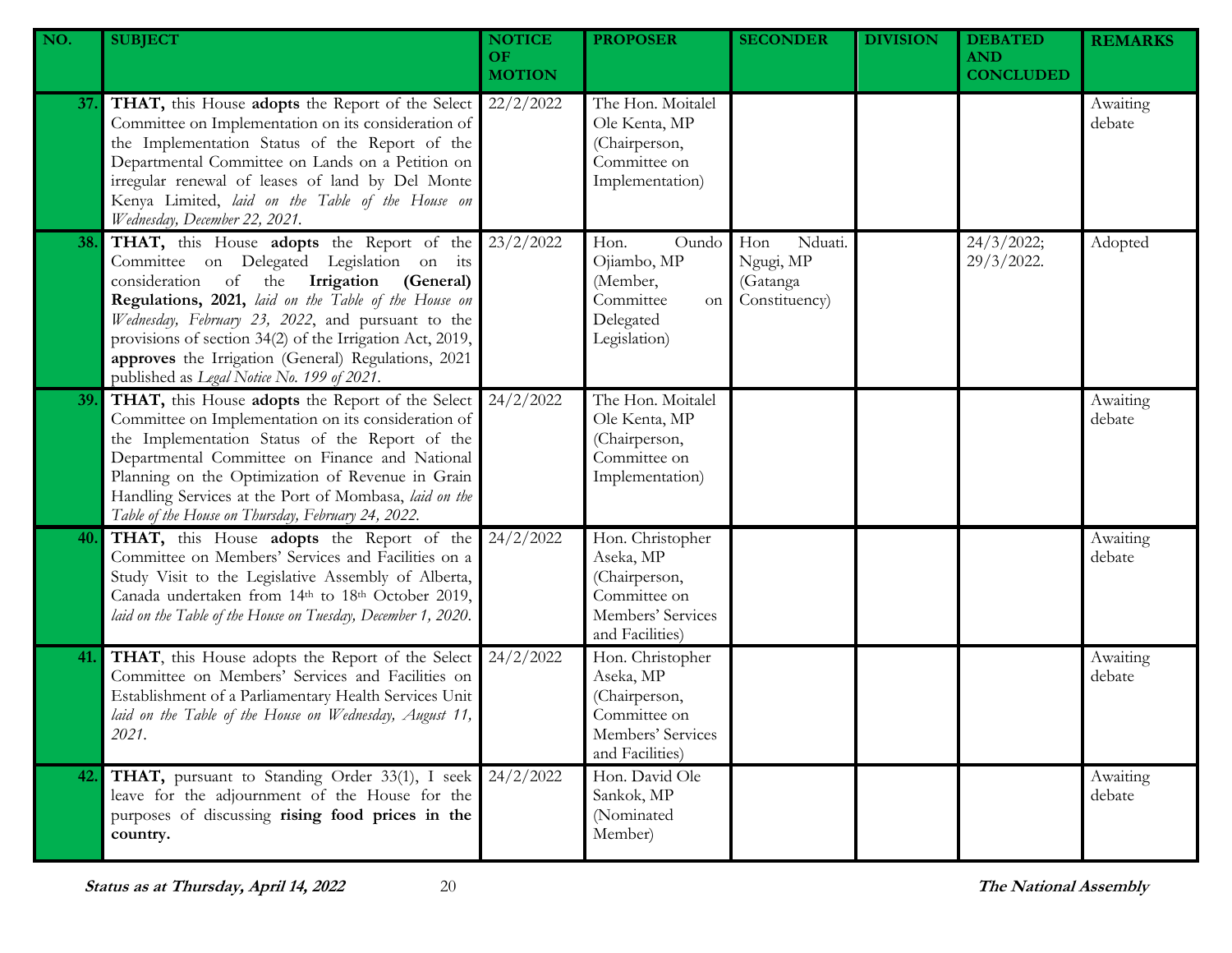| NO. | <b>SUBJECT</b>                                                                                                                                                                                                                                                                                                                                                                                                    | <b>NOTICE</b><br>OF.<br><b>MOTION</b> | <b>PROPOSER</b>                                                                                        | <b>SECONDER</b>                                          | <b>DIVISION</b> | <b>DEBATED</b><br><b>AND</b><br><b>CONCLUDED</b> | <b>REMARKS</b>     |
|-----|-------------------------------------------------------------------------------------------------------------------------------------------------------------------------------------------------------------------------------------------------------------------------------------------------------------------------------------------------------------------------------------------------------------------|---------------------------------------|--------------------------------------------------------------------------------------------------------|----------------------------------------------------------|-----------------|--------------------------------------------------|--------------------|
| 37. | THAT, this House adopts the Report of the Select<br>Committee on Implementation on its consideration of<br>the Implementation Status of the Report of the<br>Departmental Committee on Lands on a Petition on<br>irregular renewal of leases of land by Del Monte<br>Kenya Limited, laid on the Table of the House on<br>Wednesday, December 22, 2021.                                                            | 22/2/2022                             | The Hon. Moitalel<br>Ole Kenta, MP<br>(Chairperson,<br>Committee on<br>Implementation)                 |                                                          |                 |                                                  | Awaiting<br>debate |
| 38. | THAT, this House adopts the Report of the<br>Committee on Delegated Legislation on its<br>consideration of the Irrigation (General)<br>Regulations, 2021, laid on the Table of the House on<br>Wednesday, February 23, 2022, and pursuant to the<br>provisions of section 34(2) of the Irrigation Act, 2019,<br>approves the Irrigation (General) Regulations, 2021<br>published as Legal Notice No. 199 of 2021. | 23/2/2022                             | Hon.<br>Oundo<br>Ojiambo, MP<br>(Member,<br>Committee<br>on<br>Delegated<br>Legislation)               | Nduati.<br>Hon<br>Ngugi, MP<br>(Gatanga<br>Constituency) |                 | 24/3/2022;<br>29/3/2022.                         | Adopted            |
| 39. | THAT, this House adopts the Report of the Select<br>Committee on Implementation on its consideration of<br>the Implementation Status of the Report of the<br>Departmental Committee on Finance and National<br>Planning on the Optimization of Revenue in Grain<br>Handling Services at the Port of Mombasa, laid on the<br>Table of the House on Thursday, February 24, 2022.                                    | 24/2/2022                             | The Hon. Moitalel<br>Ole Kenta, MP<br>(Chairperson,<br>Committee on<br>Implementation)                 |                                                          |                 |                                                  | Awaiting<br>debate |
| 40. | THAT, this House adopts the Report of the<br>Committee on Members' Services and Facilities on a<br>Study Visit to the Legislative Assembly of Alberta,<br>Canada undertaken from 14th to 18th October 2019,<br>laid on the Table of the House on Tuesday, December 1, 2020.                                                                                                                                       | 24/2/2022                             | Hon. Christopher<br>Aseka, MP<br>(Chairperson,<br>Committee on<br>Members' Services<br>and Facilities) |                                                          |                 |                                                  | Awaiting<br>debate |
| 41. | THAT, this House adopts the Report of the Select<br>Committee on Members' Services and Facilities on<br>Establishment of a Parliamentary Health Services Unit<br>laid on the Table of the House on Wednesday, August 11,<br>2021.                                                                                                                                                                                 | 24/2/2022                             | Hon. Christopher<br>Aseka, MP<br>(Chairperson,<br>Committee on<br>Members' Services<br>and Facilities) |                                                          |                 |                                                  | Awaiting<br>debate |
| 42. | THAT, pursuant to Standing Order 33(1), I seek<br>leave for the adjournment of the House for the<br>purposes of discussing rising food prices in the<br>country.                                                                                                                                                                                                                                                  | 24/2/2022                             | Hon. David Ole<br>Sankok, MP<br>(Nominated<br>Member)                                                  |                                                          |                 |                                                  | Awaiting<br>debate |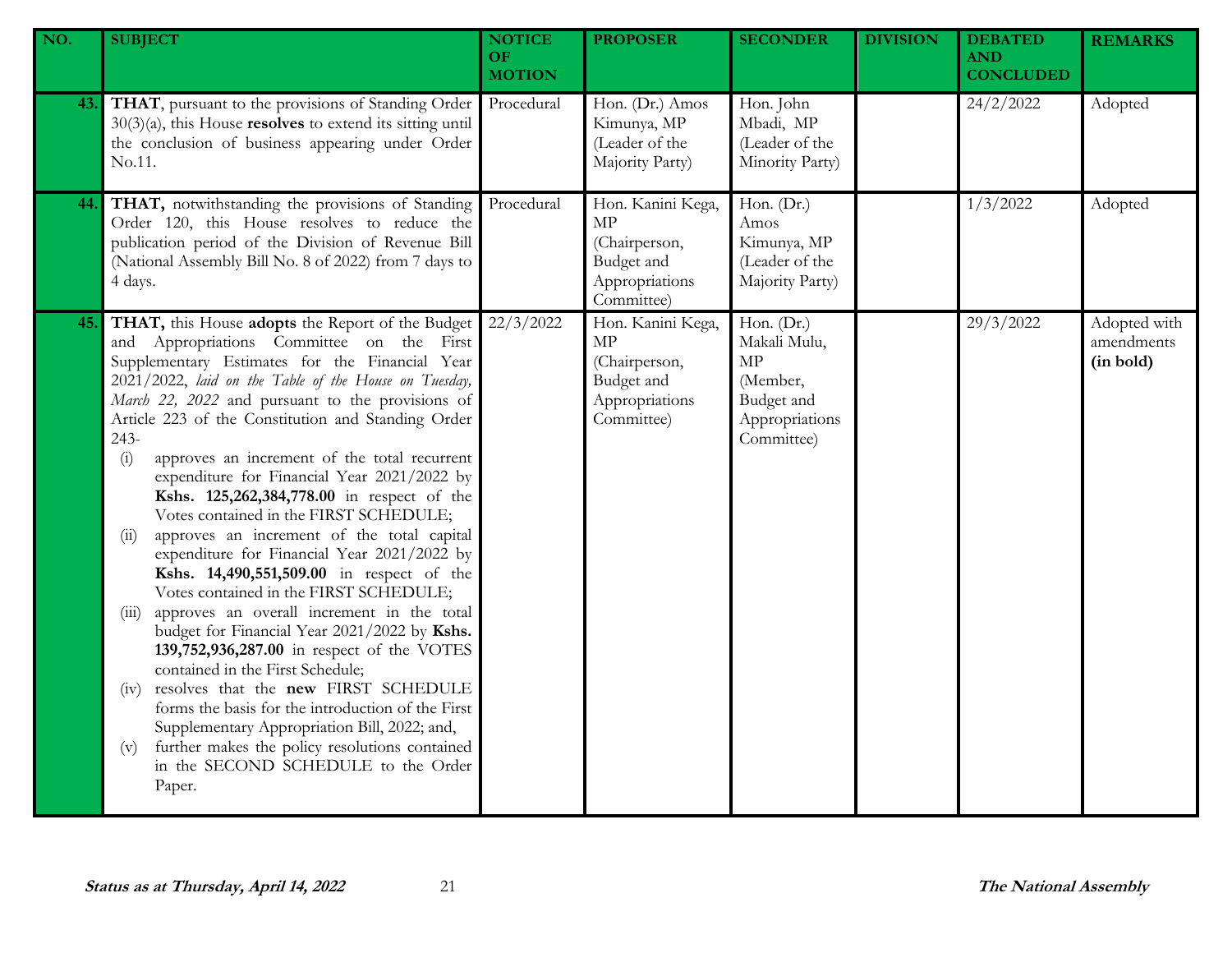| NO. | <b>SUBJECT</b>                                                                                                                                                                                                                                                                                                                                                                                                                                                                                                                                                                                                                                                                                                                                                                                                                                                                                                                                                                                                                                                                                                                                                               | <b>NOTICE</b><br>OF<br><b>MOTION</b> | <b>PROPOSER</b>                                                                        | <b>SECONDER</b>                                                                            | <b>DIVISION</b> | <b>DEBATED</b><br><b>AND</b><br><b>CONCLUDED</b> | <b>REMARKS</b>                          |
|-----|------------------------------------------------------------------------------------------------------------------------------------------------------------------------------------------------------------------------------------------------------------------------------------------------------------------------------------------------------------------------------------------------------------------------------------------------------------------------------------------------------------------------------------------------------------------------------------------------------------------------------------------------------------------------------------------------------------------------------------------------------------------------------------------------------------------------------------------------------------------------------------------------------------------------------------------------------------------------------------------------------------------------------------------------------------------------------------------------------------------------------------------------------------------------------|--------------------------------------|----------------------------------------------------------------------------------------|--------------------------------------------------------------------------------------------|-----------------|--------------------------------------------------|-----------------------------------------|
| 43. | THAT, pursuant to the provisions of Standing Order<br>$30(3)(a)$ , this House <b>resolves</b> to extend its sitting until<br>the conclusion of business appearing under Order<br>No.11.                                                                                                                                                                                                                                                                                                                                                                                                                                                                                                                                                                                                                                                                                                                                                                                                                                                                                                                                                                                      | Procedural                           | Hon. (Dr.) Amos<br>Kimunya, MP<br>(Leader of the<br>Majority Party)                    | Hon. John<br>Mbadi, MP<br>(Leader of the<br>Minority Party)                                |                 | 24/2/2022                                        | Adopted                                 |
| 44. | THAT, notwithstanding the provisions of Standing<br>Order 120, this House resolves to reduce the<br>publication period of the Division of Revenue Bill<br>(National Assembly Bill No. 8 of 2022) from 7 days to<br>4 days.                                                                                                                                                                                                                                                                                                                                                                                                                                                                                                                                                                                                                                                                                                                                                                                                                                                                                                                                                   | Procedural                           | Hon. Kanini Kega,<br>MP<br>(Chairperson,<br>Budget and<br>Appropriations<br>Committee) | Hon. (Dr.)<br>Amos<br>Kimunya, MP<br>(Leader of the<br>Majority Party)                     |                 | 1/3/2022                                         | Adopted                                 |
| 45. | THAT, this House adopts the Report of the Budget<br>and Appropriations Committee on the First<br>Supplementary Estimates for the Financial Year<br>2021/2022, laid on the Table of the House on Tuesday,<br>March 22, 2022 and pursuant to the provisions of<br>Article 223 of the Constitution and Standing Order<br>243-<br>approves an increment of the total recurrent<br>(i)<br>expenditure for Financial Year 2021/2022 by<br>Kshs. 125,262,384,778.00 in respect of the<br>Votes contained in the FIRST SCHEDULE;<br>approves an increment of the total capital<br>(ii)<br>expenditure for Financial Year 2021/2022 by<br>Kshs. 14,490,551,509.00 in respect of the<br>Votes contained in the FIRST SCHEDULE;<br>approves an overall increment in the total<br>(111)<br>budget for Financial Year 2021/2022 by Kshs.<br>139,752,936,287.00 in respect of the VOTES<br>contained in the First Schedule;<br>resolves that the new FIRST SCHEDULE<br>(1V)<br>forms the basis for the introduction of the First<br>Supplementary Appropriation Bill, 2022; and,<br>further makes the policy resolutions contained<br>(v)<br>in the SECOND SCHEDULE to the Order<br>Paper. | 22/3/2022                            | Hon. Kanini Kega,<br>MP<br>(Chairperson,<br>Budget and<br>Appropriations<br>Committee) | Hon. (Dr.)<br>Makali Mulu,<br>MP<br>(Member,<br>Budget and<br>Appropriations<br>Committee) |                 | 29/3/2022                                        | Adopted with<br>amendments<br>(in bold) |